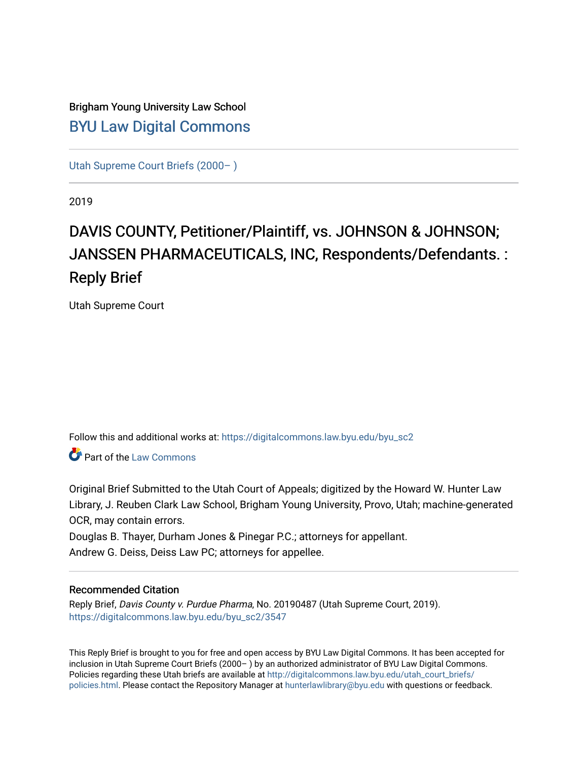# Brigham Young University Law School [BYU Law Digital Commons](https://digitalcommons.law.byu.edu/)

[Utah Supreme Court Briefs \(2000– \)](https://digitalcommons.law.byu.edu/byu_sc2)

2019

# DAVIS COUNTY, Petitioner/Plaintiff, vs. JOHNSON & JOHNSON; JANSSEN PHARMACEUTICALS, INC, Respondents/Defendants. : Reply Brief

Utah Supreme Court

Follow this and additional works at: [https://digitalcommons.law.byu.edu/byu\\_sc2](https://digitalcommons.law.byu.edu/byu_sc2?utm_source=digitalcommons.law.byu.edu%2Fbyu_sc2%2F3547&utm_medium=PDF&utm_campaign=PDFCoverPages) 

**C** Part of the [Law Commons](https://network.bepress.com/hgg/discipline/578?utm_source=digitalcommons.law.byu.edu%2Fbyu_sc2%2F3547&utm_medium=PDF&utm_campaign=PDFCoverPages)

Original Brief Submitted to the Utah Court of Appeals; digitized by the Howard W. Hunter Law Library, J. Reuben Clark Law School, Brigham Young University, Provo, Utah; machine-generated OCR, may contain errors.

Douglas B. Thayer, Durham Jones & Pinegar P.C.; attorneys for appellant. Andrew G. Deiss, Deiss Law PC; attorneys for appellee.

## Recommended Citation

Reply Brief, Davis County v. Purdue Pharma, No. 20190487 (Utah Supreme Court, 2019). [https://digitalcommons.law.byu.edu/byu\\_sc2/3547](https://digitalcommons.law.byu.edu/byu_sc2/3547?utm_source=digitalcommons.law.byu.edu%2Fbyu_sc2%2F3547&utm_medium=PDF&utm_campaign=PDFCoverPages)

This Reply Brief is brought to you for free and open access by BYU Law Digital Commons. It has been accepted for inclusion in Utah Supreme Court Briefs (2000– ) by an authorized administrator of BYU Law Digital Commons. Policies regarding these Utah briefs are available at [http://digitalcommons.law.byu.edu/utah\\_court\\_briefs/](http://digitalcommons.law.byu.edu/utah_court_briefs/policies.html) [policies.html](http://digitalcommons.law.byu.edu/utah_court_briefs/policies.html). Please contact the Repository Manager at hunterlawlibrary@byu.edu with questions or feedback.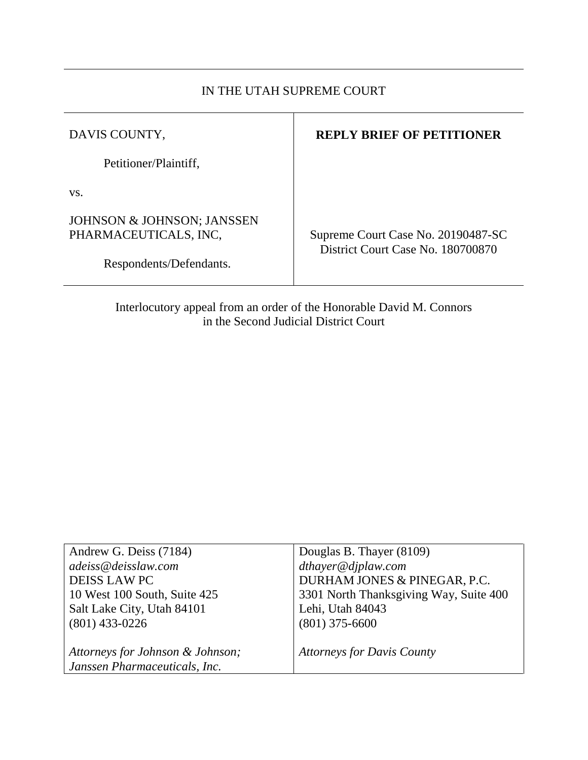# IN THE UTAH SUPREME COURT

 $\top$ 

| DAVIS COUNTY,                                                  | <b>REPLY BRIEF OF PETITIONER</b>                                        |
|----------------------------------------------------------------|-------------------------------------------------------------------------|
| Petitioner/Plaintiff,                                          |                                                                         |
| VS.                                                            |                                                                         |
| <b>JOHNSON &amp; JOHNSON; JANSSEN</b><br>PHARMACEUTICALS, INC, | Supreme Court Case No. 20190487-SC<br>District Court Case No. 180700870 |
| Respondents/Defendants.                                        |                                                                         |

# Interlocutory appeal from an order of the Honorable David M. Connors in the Second Judicial District Court

| Andrew G. Deiss (7184)           | Douglas B. Thayer (8109)               |  |
|----------------------------------|----------------------------------------|--|
| adeiss@deisslaw.com              | dthayer@djplaw.com                     |  |
| <b>DEISS LAW PC</b>              | DURHAM JONES & PINEGAR, P.C.           |  |
| 10 West 100 South, Suite 425     | 3301 North Thanksgiving Way, Suite 400 |  |
| Salt Lake City, Utah 84101       | Lehi, Utah 84043                       |  |
| $(801)$ 433-0226                 | $(801)$ 375-6600                       |  |
|                                  |                                        |  |
| Attorneys for Johnson & Johnson; | <b>Attorneys for Davis County</b>      |  |
| Janssen Pharmaceuticals, Inc.    |                                        |  |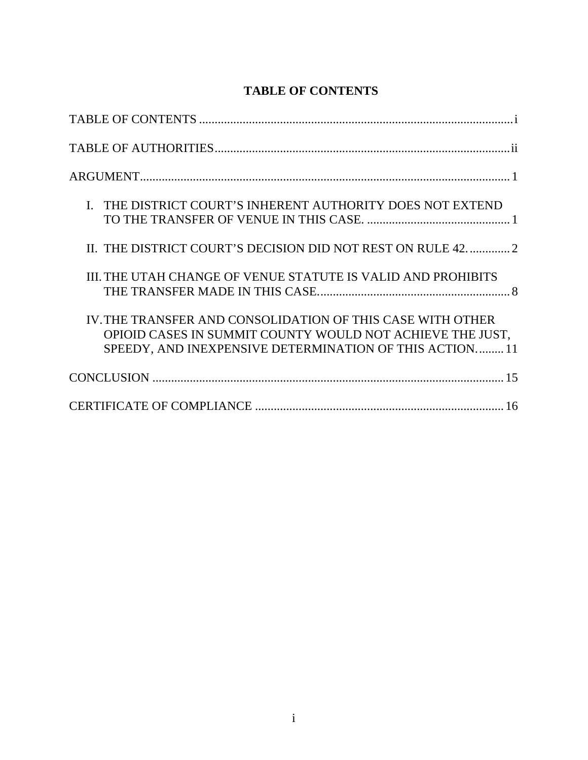# **TABLE OF CONTENTS**

| I. THE DISTRICT COURT'S INHERENT AUTHORITY DOES NOT EXTEND                                                                                                                        |
|-----------------------------------------------------------------------------------------------------------------------------------------------------------------------------------|
| II. THE DISTRICT COURT'S DECISION DID NOT REST ON RULE 42 2                                                                                                                       |
| III. THE UTAH CHANGE OF VENUE STATUTE IS VALID AND PROHIBITS                                                                                                                      |
| IV. THE TRANSFER AND CONSOLIDATION OF THIS CASE WITH OTHER<br>OPIOID CASES IN SUMMIT COUNTY WOULD NOT ACHIEVE THE JUST,<br>SPEEDY, AND INEXPENSIVE DETERMINATION OF THIS ACTION11 |
|                                                                                                                                                                                   |
|                                                                                                                                                                                   |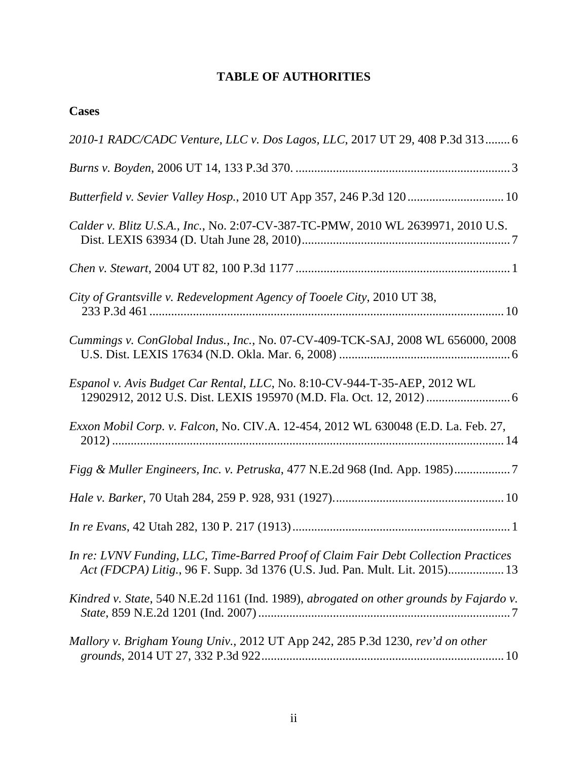# **TABLE OF AUTHORITIES**

**Cases**

| 2010-1 RADC/CADC Venture, LLC v. Dos Lagos, LLC, 2017 UT 29, 408 P.3d 313 6                                                                                        |
|--------------------------------------------------------------------------------------------------------------------------------------------------------------------|
|                                                                                                                                                                    |
| Butterfield v. Sevier Valley Hosp., 2010 UT App 357, 246 P.3d 120 10                                                                                               |
| Calder v. Blitz U.S.A., Inc., No. 2:07-CV-387-TC-PMW, 2010 WL 2639971, 2010 U.S.                                                                                   |
|                                                                                                                                                                    |
| City of Grantsville v. Redevelopment Agency of Tooele City, 2010 UT 38,                                                                                            |
| Cummings v. ConGlobal Indus., Inc., No. 07-CV-409-TCK-SAJ, 2008 WL 656000, 2008                                                                                    |
| Espanol v. Avis Budget Car Rental, LLC, No. 8:10-CV-944-T-35-AEP, 2012 WL                                                                                          |
| Exxon Mobil Corp. v. Falcon, No. CIV.A. 12-454, 2012 WL 630048 (E.D. La. Feb. 27,                                                                                  |
| Figg & Muller Engineers, Inc. v. Petruska, 477 N.E.2d 968 (Ind. App. 1985)7                                                                                        |
|                                                                                                                                                                    |
|                                                                                                                                                                    |
| In re: LVNV Funding, LLC, Time-Barred Proof of Claim Fair Debt Collection Practices<br>Act (FDCPA) Litig., 96 F. Supp. 3d 1376 (U.S. Jud. Pan. Mult. Lit. 2015) 13 |
| Kindred v. State, 540 N.E.2d 1161 (Ind. 1989), abrogated on other grounds by Fajardo v.                                                                            |
| Mallory v. Brigham Young Univ., 2012 UT App 242, 285 P.3d 1230, rev'd on other                                                                                     |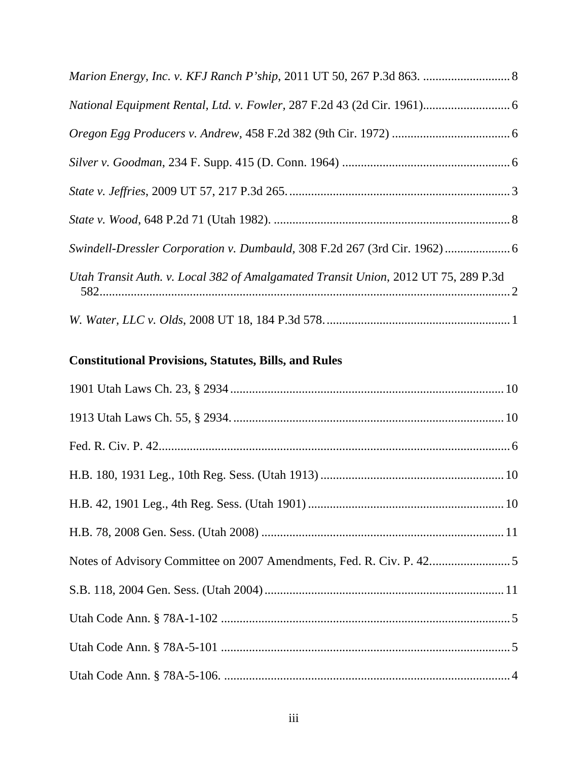| Swindell-Dressler Corporation v. Dumbauld, 308 F.2d 267 (3rd Cir. 1962)            |  |
|------------------------------------------------------------------------------------|--|
| Utah Transit Auth. v. Local 382 of Amalgamated Transit Union, 2012 UT 75, 289 P.3d |  |
|                                                                                    |  |

# **Constitutional Provisions, Statutes, Bills, and Rules**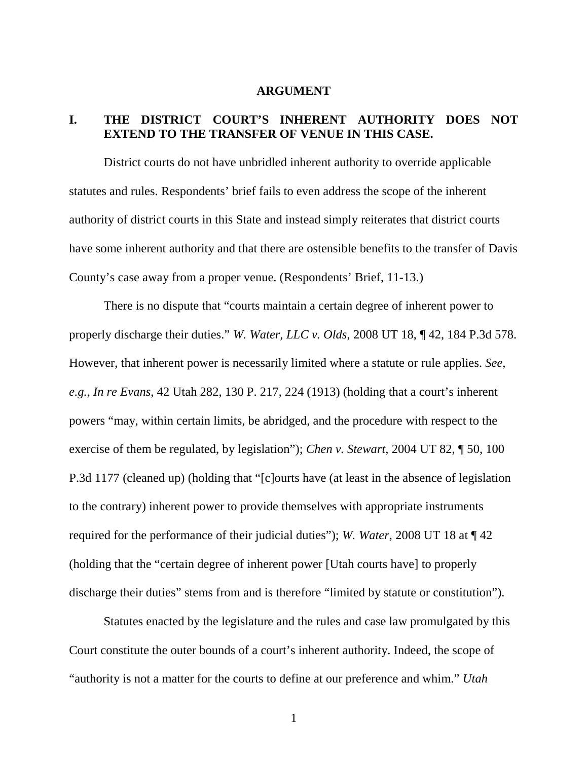## **ARGUMENT**

# **I. THE DISTRICT COURT'S INHERENT AUTHORITY DOES NOT EXTEND TO THE TRANSFER OF VENUE IN THIS CASE.**

District courts do not have unbridled inherent authority to override applicable statutes and rules. Respondents' brief fails to even address the scope of the inherent authority of district courts in this State and instead simply reiterates that district courts have some inherent authority and that there are ostensible benefits to the transfer of Davis County's case away from a proper venue. (Respondents' Brief, 11-13.)

There is no dispute that "courts maintain a certain degree of inherent power to properly discharge their duties." *W. Water, LLC v. Olds*, 2008 UT 18, ¶ 42, 184 P.3d 578. However, that inherent power is necessarily limited where a statute or rule applies. *See, e.g.*, *In re Evans*, 42 Utah 282, 130 P. 217, 224 (1913) (holding that a court's inherent powers "may, within certain limits, be abridged, and the procedure with respect to the exercise of them be regulated, by legislation"); *Chen v. Stewart*, 2004 UT 82, ¶ 50, 100 P.3d 1177 (cleaned up) (holding that "[c]ourts have (at least in the absence of legislation to the contrary) inherent power to provide themselves with appropriate instruments required for the performance of their judicial duties"); *W. Water*, 2008 UT 18 at ¶ 42 (holding that the "certain degree of inherent power [Utah courts have] to properly discharge their duties" stems from and is therefore "limited by statute or constitution").

Statutes enacted by the legislature and the rules and case law promulgated by this Court constitute the outer bounds of a court's inherent authority. Indeed, the scope of "authority is not a matter for the courts to define at our preference and whim." *Utah* 

1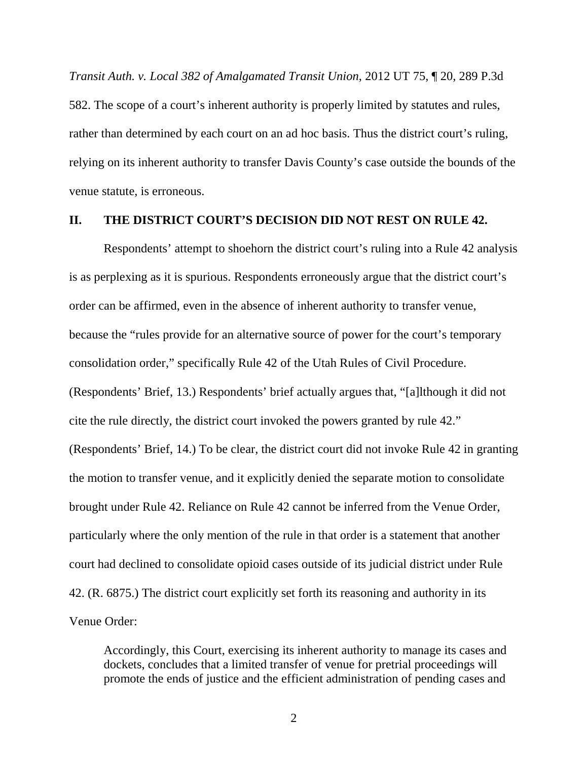*Transit Auth. v. Local 382 of Amalgamated Transit Union*, 2012 UT 75, ¶ 20, 289 P.3d 582. The scope of a court's inherent authority is properly limited by statutes and rules, rather than determined by each court on an ad hoc basis. Thus the district court's ruling, relying on its inherent authority to transfer Davis County's case outside the bounds of the venue statute, is erroneous.

## **II. THE DISTRICT COURT'S DECISION DID NOT REST ON RULE 42.**

Respondents' attempt to shoehorn the district court's ruling into a Rule 42 analysis is as perplexing as it is spurious. Respondents erroneously argue that the district court's order can be affirmed, even in the absence of inherent authority to transfer venue, because the "rules provide for an alternative source of power for the court's temporary consolidation order," specifically Rule 42 of the Utah Rules of Civil Procedure. (Respondents' Brief, 13.) Respondents' brief actually argues that, "[a]lthough it did not cite the rule directly, the district court invoked the powers granted by rule 42." (Respondents' Brief, 14.) To be clear, the district court did not invoke Rule 42 in granting the motion to transfer venue, and it explicitly denied the separate motion to consolidate brought under Rule 42. Reliance on Rule 42 cannot be inferred from the Venue Order, particularly where the only mention of the rule in that order is a statement that another court had declined to consolidate opioid cases outside of its judicial district under Rule 42. (R. 6875.) The district court explicitly set forth its reasoning and authority in its Venue Order:

Accordingly, this Court, exercising its inherent authority to manage its cases and dockets, concludes that a limited transfer of venue for pretrial proceedings will promote the ends of justice and the efficient administration of pending cases and

2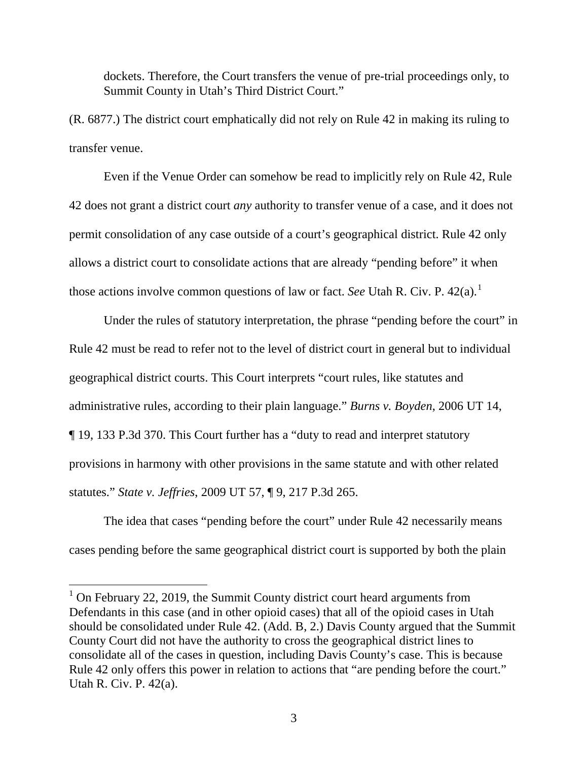dockets. Therefore, the Court transfers the venue of pre-trial proceedings only, to Summit County in Utah's Third District Court."

(R. 6877.) The district court emphatically did not rely on Rule 42 in making its ruling to transfer venue.

Even if the Venue Order can somehow be read to implicitly rely on Rule 42, Rule 42 does not grant a district court *any* authority to transfer venue of a case, and it does not permit consolidation of any case outside of a court's geographical district. Rule 42 only allows a district court to consolidate actions that are already "pending before" it when those actions involve common questions of law or fact. *See* Utah R. Civ. P. 42(a). [1](#page-8-0)

Under the rules of statutory interpretation, the phrase "pending before the court" in Rule 42 must be read to refer not to the level of district court in general but to individual geographical district courts. This Court interprets "court rules, like statutes and administrative rules, according to their plain language." *Burns v. Boyden*, 2006 UT 14, ¶ 19, 133 P.3d 370. This Court further has a "duty to read and interpret statutory provisions in harmony with other provisions in the same statute and with other related statutes." *State v. Jeffries*, 2009 UT 57, ¶ 9, 217 P.3d 265.

The idea that cases "pending before the court" under Rule 42 necessarily means cases pending before the same geographical district court is supported by both the plain

<span id="page-8-0"></span> $1$  On February 22, 2019, the Summit County district court heard arguments from Defendants in this case (and in other opioid cases) that all of the opioid cases in Utah should be consolidated under Rule 42. (Add. B, 2.) Davis County argued that the Summit County Court did not have the authority to cross the geographical district lines to consolidate all of the cases in question, including Davis County's case. This is because Rule 42 only offers this power in relation to actions that "are pending before the court." Utah R. Civ. P. 42(a).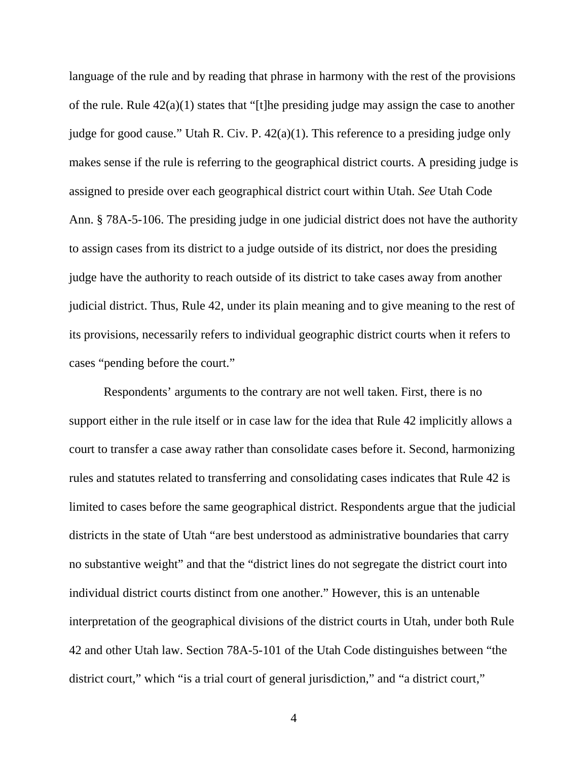language of the rule and by reading that phrase in harmony with the rest of the provisions of the rule. Rule 42(a)(1) states that "[t]he presiding judge may assign the case to another judge for good cause." Utah R. Civ. P. 42(a)(1). This reference to a presiding judge only makes sense if the rule is referring to the geographical district courts. A presiding judge is assigned to preside over each geographical district court within Utah. *See* Utah Code Ann. § 78A-5-106. The presiding judge in one judicial district does not have the authority to assign cases from its district to a judge outside of its district, nor does the presiding judge have the authority to reach outside of its district to take cases away from another judicial district. Thus, Rule 42, under its plain meaning and to give meaning to the rest of its provisions, necessarily refers to individual geographic district courts when it refers to cases "pending before the court."

Respondents' arguments to the contrary are not well taken. First, there is no support either in the rule itself or in case law for the idea that Rule 42 implicitly allows a court to transfer a case away rather than consolidate cases before it. Second, harmonizing rules and statutes related to transferring and consolidating cases indicates that Rule 42 is limited to cases before the same geographical district. Respondents argue that the judicial districts in the state of Utah "are best understood as administrative boundaries that carry no substantive weight" and that the "district lines do not segregate the district court into individual district courts distinct from one another." However, this is an untenable interpretation of the geographical divisions of the district courts in Utah, under both Rule 42 and other Utah law. Section 78A-5-101 of the Utah Code distinguishes between "the district court," which "is a trial court of general jurisdiction," and "a district court,"

4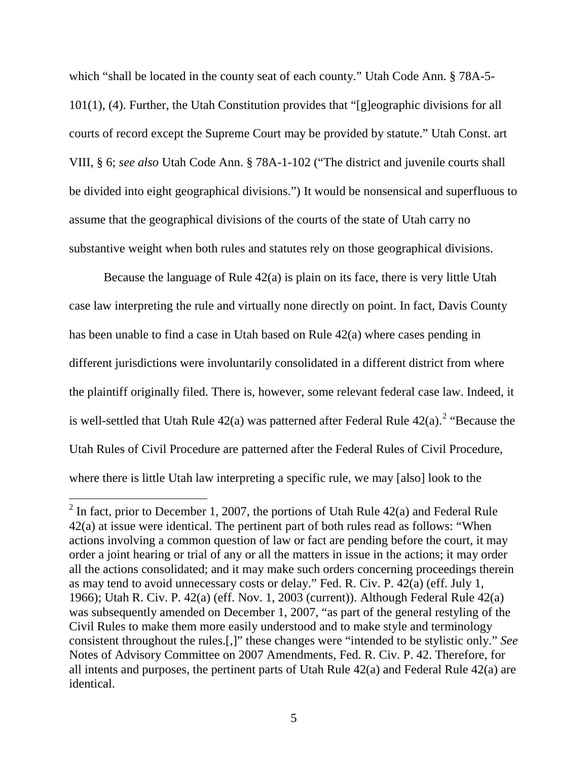which "shall be located in the county seat of each county." Utah Code Ann. § 78A-5- 101(1), (4). Further, the Utah Constitution provides that "[g]eographic divisions for all courts of record except the Supreme Court may be provided by statute." Utah Const. art VIII, § 6; *see also* Utah Code Ann. § 78A-1-102 ("The district and juvenile courts shall be divided into eight geographical divisions.") It would be nonsensical and superfluous to assume that the geographical divisions of the courts of the state of Utah carry no substantive weight when both rules and statutes rely on those geographical divisions.

Because the language of Rule 42(a) is plain on its face, there is very little Utah case law interpreting the rule and virtually none directly on point. In fact, Davis County has been unable to find a case in Utah based on Rule 42(a) where cases pending in different jurisdictions were involuntarily consolidated in a different district from where the plaintiff originally filed. There is, however, some relevant federal case law. Indeed, it is well-settled that Utah Rule  $42(a)$  $42(a)$  $42(a)$  was patterned after Federal Rule  $42(a)$ .<sup>2</sup> "Because the Utah Rules of Civil Procedure are patterned after the Federal Rules of Civil Procedure, where there is little Utah law interpreting a specific rule, we may [also] look to the

<span id="page-10-0"></span> $2$  In fact, prior to December 1, 2007, the portions of Utah Rule 42(a) and Federal Rule 42(a) at issue were identical. The pertinent part of both rules read as follows: "When actions involving a common question of law or fact are pending before the court, it may order a joint hearing or trial of any or all the matters in issue in the actions; it may order all the actions consolidated; and it may make such orders concerning proceedings therein as may tend to avoid unnecessary costs or delay." Fed. R. Civ. P. 42(a) (eff. July 1, 1966); Utah R. Civ. P. 42(a) (eff. Nov. 1, 2003 (current)). Although Federal Rule 42(a) was subsequently amended on December 1, 2007, "as part of the general restyling of the Civil Rules to make them more easily understood and to make style and terminology consistent throughout the rules.[,]" these changes were "intended to be stylistic only." *See*  Notes of Advisory Committee on 2007 Amendments, Fed. R. Civ. P. 42. Therefore, for all intents and purposes, the pertinent parts of Utah Rule 42(a) and Federal Rule 42(a) are identical.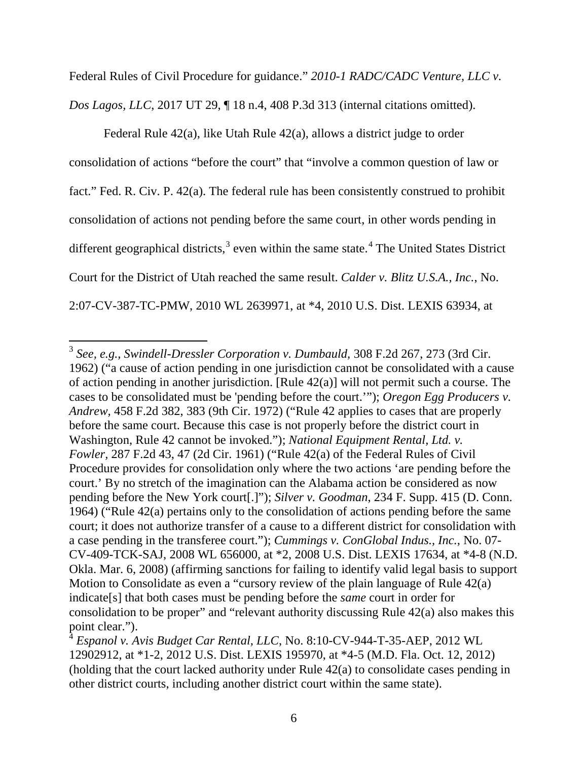Federal Rules of Civil Procedure for guidance." *2010-1 RADC/CADC Venture, LLC v. Dos Lagos, LLC*, 2017 UT 29, ¶ 18 n.4, 408 P.3d 313 (internal citations omitted).

Federal Rule 42(a), like Utah Rule 42(a), allows a district judge to order consolidation of actions "before the court" that "involve a common question of law or fact." Fed. R. Civ. P. 42(a). The federal rule has been consistently construed to prohibit consolidation of actions not pending before the same court, in other words pending in different geographical districts,<sup>[3](#page-11-0)</sup> even within the same state.<sup>[4](#page-11-1)</sup> The United States District Court for the District of Utah reached the same result. *Calder v. Blitz U.S.A., Inc.*, No. 2:07-CV-387-TC-PMW, 2010 WL 2639971, at \*4, 2010 U.S. Dist. LEXIS 63934, at

<span id="page-11-0"></span> <sup>3</sup> *See, e.g., Swindell-Dressler Corporation v. Dumbauld,* <sup>308</sup> F.2d 267, <sup>273</sup> (3rd Cir. 1962) ("a cause of action pending in one jurisdiction cannot be consolidated with a cause of action pending in another jurisdiction. [Rule 42(a)] will not permit such a course. The cases to be consolidated must be 'pending before the court.'"); *Oregon Egg Producers v. Andrew,* 458 F.2d 382, 383 (9th Cir. 1972) ("Rule 42 applies to cases that are properly before the same court. Because this case is not properly before the district court in Washington, Rule 42 cannot be invoked."); *National Equipment Rental, Ltd. v. Fowler,* 287 F.2d 43, 47 (2d Cir. 1961) ("Rule 42(a) of the Federal Rules of Civil Procedure provides for consolidation only where the two actions 'are pending before the court.' By no stretch of the imagination can the Alabama action be considered as now pending before the New York court[.]"); *Silver v. Goodman*, 234 F. Supp. 415 (D. Conn. 1964) ("Rule 42(a) pertains only to the consolidation of actions pending before the same court; it does not authorize transfer of a cause to a different district for consolidation with a case pending in the transferee court."); *Cummings v. ConGlobal Indus., Inc.*, No. 07- CV-409-TCK-SAJ, 2008 WL 656000, at \*2, 2008 U.S. Dist. LEXIS 17634, at \*4-8 (N.D. Okla. Mar. 6, 2008) (affirming sanctions for failing to identify valid legal basis to support Motion to Consolidate as even a "cursory review of the plain language of Rule 42(a) indicate[s] that both cases must be pending before the *same* court in order for consolidation to be proper" and "relevant authority discussing Rule 42(a) also makes this point clear.").

<span id="page-11-1"></span><sup>4</sup> *Espanol v. Avis Budget Car Rental, LLC*, No. 8:10-CV-944-T-35-AEP, 2012 WL 12902912, at \*1-2, 2012 U.S. Dist. LEXIS 195970, at \*4-5 (M.D. Fla. Oct. 12, 2012) (holding that the court lacked authority under Rule 42(a) to consolidate cases pending in other district courts, including another district court within the same state).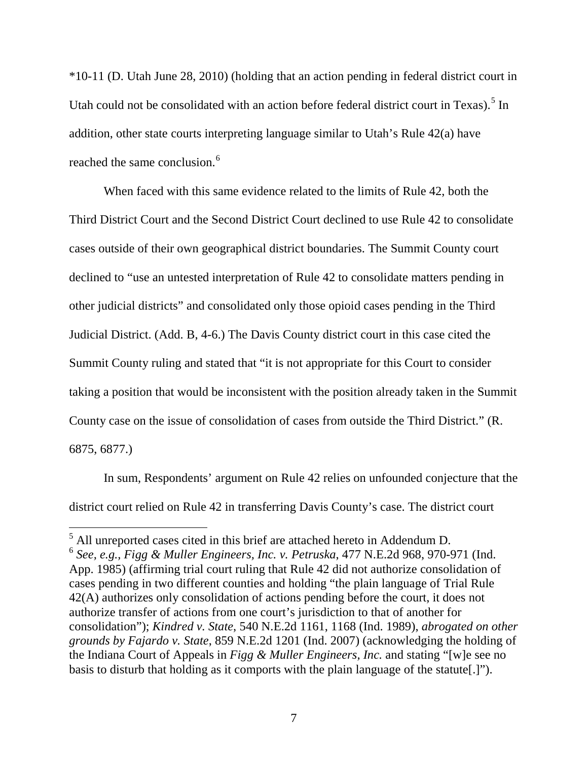\*10-11 (D. Utah June 28, 2010) (holding that an action pending in federal district court in Utah could not be consolidated with an action before federal district court in Texas).<sup>[5](#page-12-0)</sup> In addition, other state courts interpreting language similar to Utah's Rule 42(a) have reached the same conclusion.<sup>[6](#page-12-1)</sup>

When faced with this same evidence related to the limits of Rule 42, both the Third District Court and the Second District Court declined to use Rule 42 to consolidate cases outside of their own geographical district boundaries. The Summit County court declined to "use an untested interpretation of Rule 42 to consolidate matters pending in other judicial districts" and consolidated only those opioid cases pending in the Third Judicial District. (Add. B, 4-6.) The Davis County district court in this case cited the Summit County ruling and stated that "it is not appropriate for this Court to consider taking a position that would be inconsistent with the position already taken in the Summit County case on the issue of consolidation of cases from outside the Third District." (R. 6875, 6877.)

In sum, Respondents' argument on Rule 42 relies on unfounded conjecture that the district court relied on Rule 42 in transferring Davis County's case. The district court

<span id="page-12-0"></span> <sup>5</sup> All unreported cases cited in this brief are attached hereto in Addendum D.

<span id="page-12-1"></span><sup>6</sup> *See, e.g., Figg & Muller Engineers, Inc. v. Petruska*, 477 N.E.2d 968, 970-971 (Ind. App. 1985) (affirming trial court ruling that Rule 42 did not authorize consolidation of cases pending in two different counties and holding "the plain language of Trial Rule 42(A) authorizes only consolidation of actions pending before the court, it does not authorize transfer of actions from one court's jurisdiction to that of another for consolidation"); *Kindred v. State*, 540 N.E.2d 1161, 1168 (Ind. 1989), *abrogated on other grounds by Fajardo v. State*, 859 N.E.2d 1201 (Ind. 2007) (acknowledging the holding of the Indiana Court of Appeals in *Figg & Muller Engineers, Inc.* and stating "[w]e see no basis to disturb that holding as it comports with the plain language of the statute[.]").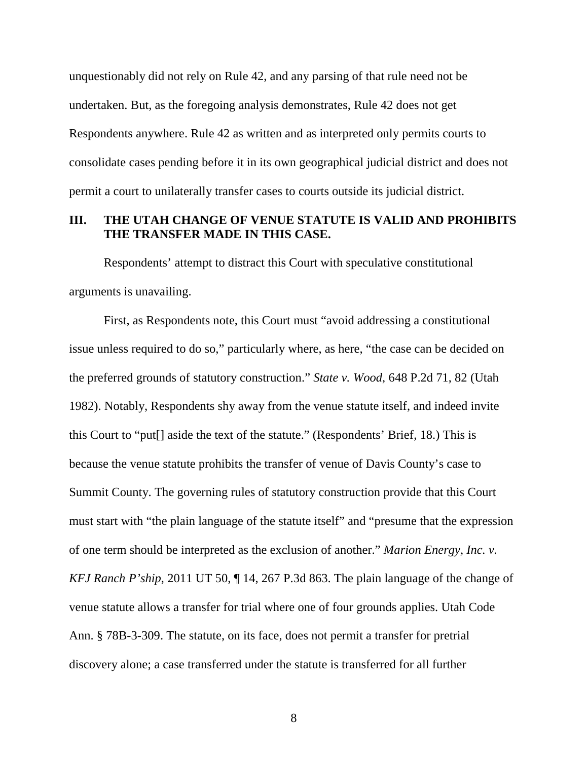unquestionably did not rely on Rule 42, and any parsing of that rule need not be undertaken. But, as the foregoing analysis demonstrates, Rule 42 does not get Respondents anywhere. Rule 42 as written and as interpreted only permits courts to consolidate cases pending before it in its own geographical judicial district and does not permit a court to unilaterally transfer cases to courts outside its judicial district.

## **III. THE UTAH CHANGE OF VENUE STATUTE IS VALID AND PROHIBITS THE TRANSFER MADE IN THIS CASE.**

Respondents' attempt to distract this Court with speculative constitutional arguments is unavailing.

First, as Respondents note, this Court must "avoid addressing a constitutional issue unless required to do so," particularly where, as here, "the case can be decided on the preferred grounds of statutory construction." *State v. Wood*, 648 P.2d 71, 82 (Utah 1982). Notably, Respondents shy away from the venue statute itself, and indeed invite this Court to "put[] aside the text of the statute." (Respondents' Brief, 18.) This is because the venue statute prohibits the transfer of venue of Davis County's case to Summit County. The governing rules of statutory construction provide that this Court must start with "the plain language of the statute itself" and "presume that the expression of one term should be interpreted as the exclusion of another." *Marion Energy, Inc. v. KFJ Ranch P'ship*, 2011 UT 50, ¶ 14, 267 P.3d 863. The plain language of the change of venue statute allows a transfer for trial where one of four grounds applies. Utah Code Ann. § 78B-3-309. The statute, on its face, does not permit a transfer for pretrial discovery alone; a case transferred under the statute is transferred for all further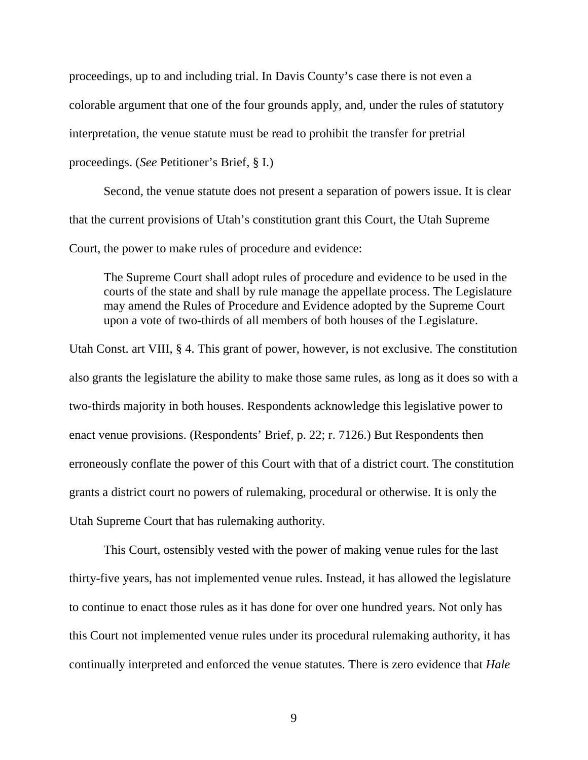proceedings, up to and including trial. In Davis County's case there is not even a colorable argument that one of the four grounds apply, and, under the rules of statutory interpretation, the venue statute must be read to prohibit the transfer for pretrial proceedings. (*See* Petitioner's Brief, § I.)

Second, the venue statute does not present a separation of powers issue. It is clear that the current provisions of Utah's constitution grant this Court, the Utah Supreme Court, the power to make rules of procedure and evidence:

The Supreme Court shall adopt rules of procedure and evidence to be used in the courts of the state and shall by rule manage the appellate process. The Legislature may amend the Rules of Procedure and Evidence adopted by the Supreme Court upon a vote of two-thirds of all members of both houses of the Legislature.

Utah Const. art VIII, § 4. This grant of power, however, is not exclusive. The constitution also grants the legislature the ability to make those same rules, as long as it does so with a two-thirds majority in both houses. Respondents acknowledge this legislative power to enact venue provisions. (Respondents' Brief, p. 22; r. 7126.) But Respondents then erroneously conflate the power of this Court with that of a district court. The constitution grants a district court no powers of rulemaking, procedural or otherwise. It is only the Utah Supreme Court that has rulemaking authority.

This Court, ostensibly vested with the power of making venue rules for the last thirty-five years, has not implemented venue rules. Instead, it has allowed the legislature to continue to enact those rules as it has done for over one hundred years. Not only has this Court not implemented venue rules under its procedural rulemaking authority, it has continually interpreted and enforced the venue statutes. There is zero evidence that *Hale* 

9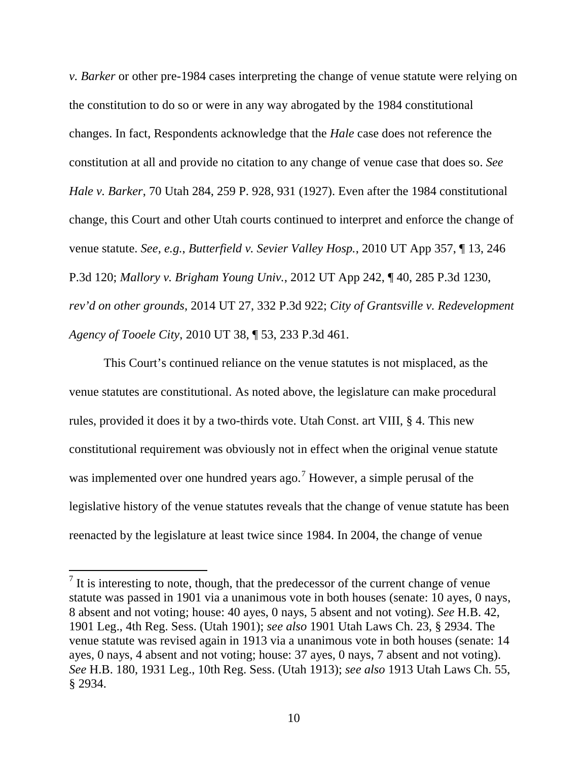*v. Barker* or other pre-1984 cases interpreting the change of venue statute were relying on the constitution to do so or were in any way abrogated by the 1984 constitutional changes. In fact, Respondents acknowledge that the *Hale* case does not reference the constitution at all and provide no citation to any change of venue case that does so. *See Hale v. Barker*, 70 Utah 284, 259 P. 928, 931 (1927). Even after the 1984 constitutional change, this Court and other Utah courts continued to interpret and enforce the change of venue statute. *See, e.g.*, *Butterfield v. Sevier Valley Hosp.*, 2010 UT App 357, ¶ 13, 246 P.3d 120; *Mallory v. Brigham Young Univ.*, 2012 UT App 242, ¶ 40, 285 P.3d 1230, *rev'd on other grounds*, 2014 UT 27, 332 P.3d 922; *City of Grantsville v. Redevelopment Agency of Tooele City*, 2010 UT 38, ¶ 53, 233 P.3d 461.

This Court's continued reliance on the venue statutes is not misplaced, as the venue statutes are constitutional. As noted above, the legislature can make procedural rules, provided it does it by a two-thirds vote. Utah Const. art VIII, § 4. This new constitutional requirement was obviously not in effect when the original venue statute was implemented over one hundred years ago.<sup>[7](#page-15-0)</sup> However, a simple perusal of the legislative history of the venue statutes reveals that the change of venue statute has been reenacted by the legislature at least twice since 1984. In 2004, the change of venue

<span id="page-15-0"></span> $<sup>7</sup>$  It is interesting to note, though, that the predecessor of the current change of venue</sup> statute was passed in 1901 via a unanimous vote in both houses (senate: 10 ayes, 0 nays, 8 absent and not voting; house: 40 ayes, 0 nays, 5 absent and not voting). *See* H.B. 42, 1901 Leg., 4th Reg. Sess. (Utah 1901); *see also* 1901 Utah Laws Ch. 23, § 2934. The venue statute was revised again in 1913 via a unanimous vote in both houses (senate: 14 ayes, 0 nays, 4 absent and not voting; house: 37 ayes, 0 nays, 7 absent and not voting). *See* H.B. 180, 1931 Leg., 10th Reg. Sess. (Utah 1913); *see also* 1913 Utah Laws Ch. 55, § 2934.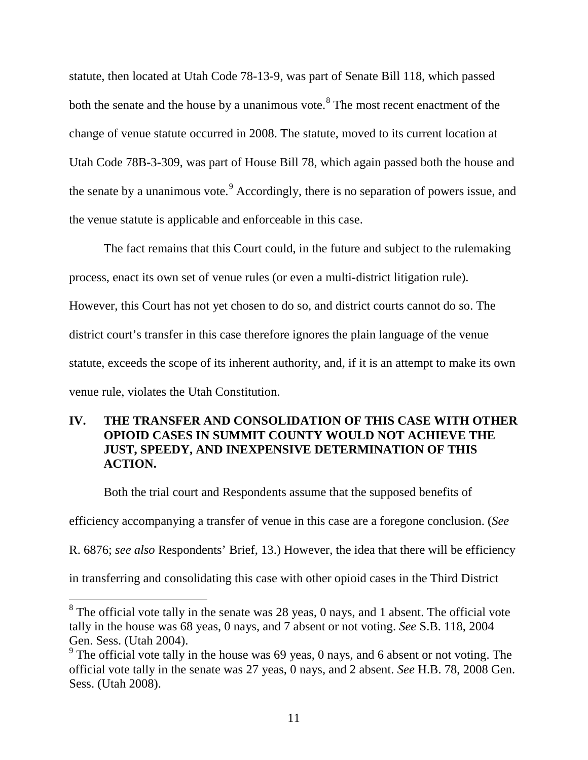statute, then located at Utah Code 78-13-9, was part of Senate Bill 118, which passed both the senate and the house by a unanimous vote.<sup>[8](#page-16-0)</sup> The most recent enactment of the change of venue statute occurred in 2008. The statute, moved to its current location at Utah Code 78B-3-309, was part of House Bill 78, which again passed both the house and the senate by a unanimous vote.<sup>[9](#page-16-1)</sup> Accordingly, there is no separation of powers issue, and the venue statute is applicable and enforceable in this case.

The fact remains that this Court could, in the future and subject to the rulemaking process, enact its own set of venue rules (or even a multi-district litigation rule). However, this Court has not yet chosen to do so, and district courts cannot do so. The district court's transfer in this case therefore ignores the plain language of the venue statute, exceeds the scope of its inherent authority, and, if it is an attempt to make its own venue rule, violates the Utah Constitution.

# **IV. THE TRANSFER AND CONSOLIDATION OF THIS CASE WITH OTHER OPIOID CASES IN SUMMIT COUNTY WOULD NOT ACHIEVE THE JUST, SPEEDY, AND INEXPENSIVE DETERMINATION OF THIS ACTION.**

Both the trial court and Respondents assume that the supposed benefits of

efficiency accompanying a transfer of venue in this case are a foregone conclusion. (*See*

R. 6876; *see also* Respondents' Brief, 13.) However, the idea that there will be efficiency

in transferring and consolidating this case with other opioid cases in the Third District

<span id="page-16-0"></span> $8$  The official vote tally in the senate was 28 yeas, 0 nays, and 1 absent. The official vote tally in the house was 68 yeas, 0 nays, and 7 absent or not voting. *See* S.B. 118, 2004 Gen. Sess. (Utah 2004). 9 The official vote tally in the house was 69 yeas, 0 nays, and 6 absent or not voting. The

<span id="page-16-1"></span>official vote tally in the senate was 27 yeas, 0 nays, and 2 absent. *See* H.B. 78, 2008 Gen. Sess. (Utah 2008).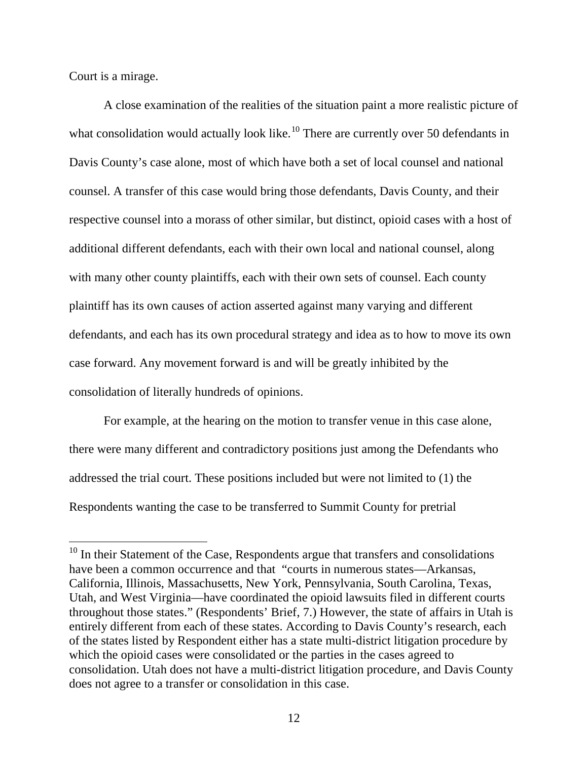Court is a mirage.

A close examination of the realities of the situation paint a more realistic picture of what consolidation would actually look like.<sup>[10](#page-17-0)</sup> There are currently over 50 defendants in Davis County's case alone, most of which have both a set of local counsel and national counsel. A transfer of this case would bring those defendants, Davis County, and their respective counsel into a morass of other similar, but distinct, opioid cases with a host of additional different defendants, each with their own local and national counsel, along with many other county plaintiffs, each with their own sets of counsel. Each county plaintiff has its own causes of action asserted against many varying and different defendants, and each has its own procedural strategy and idea as to how to move its own case forward. Any movement forward is and will be greatly inhibited by the consolidation of literally hundreds of opinions.

For example, at the hearing on the motion to transfer venue in this case alone, there were many different and contradictory positions just among the Defendants who addressed the trial court. These positions included but were not limited to (1) the Respondents wanting the case to be transferred to Summit County for pretrial

<span id="page-17-0"></span> $10$  In their Statement of the Case, Respondents argue that transfers and consolidations have been a common occurrence and that "courts in numerous states—Arkansas, California, Illinois, Massachusetts, New York, Pennsylvania, South Carolina, Texas, Utah, and West Virginia—have coordinated the opioid lawsuits filed in different courts throughout those states." (Respondents' Brief, 7.) However, the state of affairs in Utah is entirely different from each of these states. According to Davis County's research, each of the states listed by Respondent either has a state multi-district litigation procedure by which the opioid cases were consolidated or the parties in the cases agreed to consolidation. Utah does not have a multi-district litigation procedure, and Davis County does not agree to a transfer or consolidation in this case.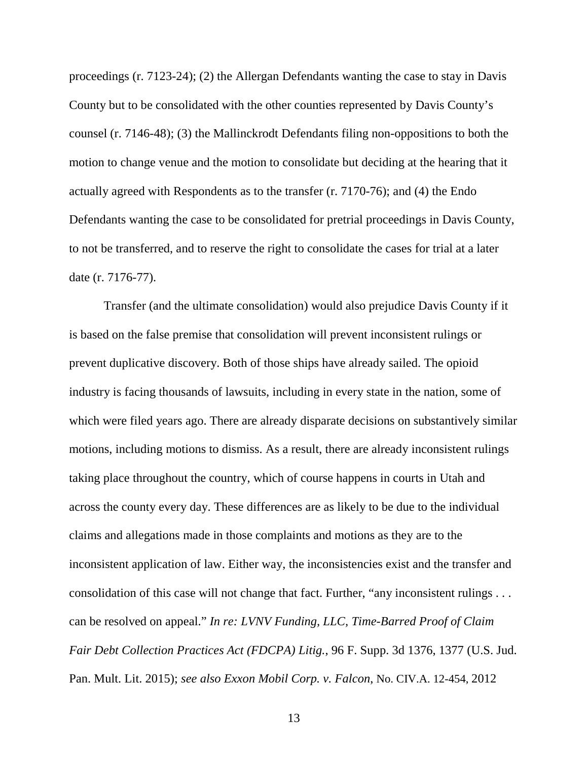proceedings (r. 7123-24); (2) the Allergan Defendants wanting the case to stay in Davis County but to be consolidated with the other counties represented by Davis County's counsel (r. 7146-48); (3) the Mallinckrodt Defendants filing non-oppositions to both the motion to change venue and the motion to consolidate but deciding at the hearing that it actually agreed with Respondents as to the transfer (r. 7170-76); and (4) the Endo Defendants wanting the case to be consolidated for pretrial proceedings in Davis County, to not be transferred, and to reserve the right to consolidate the cases for trial at a later date (r. 7176-77).

Transfer (and the ultimate consolidation) would also prejudice Davis County if it is based on the false premise that consolidation will prevent inconsistent rulings or prevent duplicative discovery. Both of those ships have already sailed. The opioid industry is facing thousands of lawsuits, including in every state in the nation, some of which were filed years ago. There are already disparate decisions on substantively similar motions, including motions to dismiss. As a result, there are already inconsistent rulings taking place throughout the country, which of course happens in courts in Utah and across the county every day. These differences are as likely to be due to the individual claims and allegations made in those complaints and motions as they are to the inconsistent application of law. Either way, the inconsistencies exist and the transfer and consolidation of this case will not change that fact. Further, "any inconsistent rulings . . . can be resolved on appeal." *In re: LVNV Funding, LLC, Time-Barred Proof of Claim Fair Debt Collection Practices Act (FDCPA) Litig.*, 96 F. Supp. 3d 1376, 1377 (U.S. Jud. Pan. Mult. Lit. 2015); *see also Exxon Mobil Corp. v. Falcon*, No. CIV.A. 12-454, 2012

13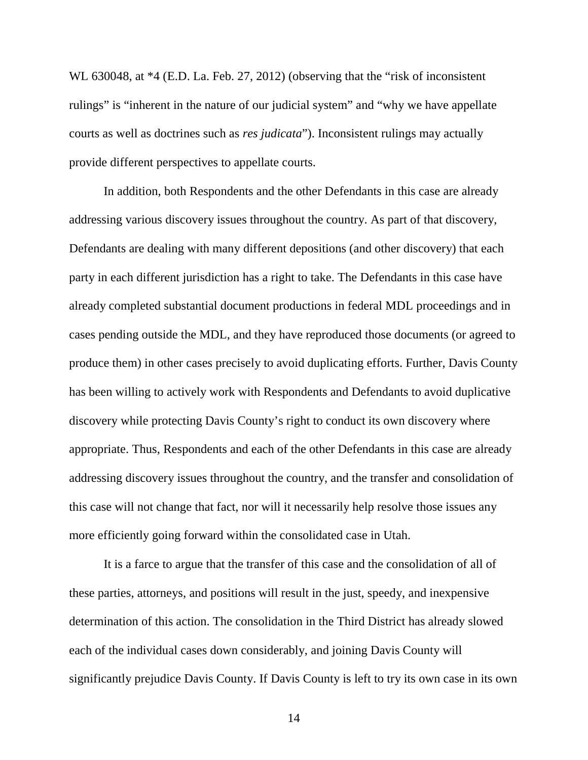WL 630048, at  $*4$  (E.D. La. Feb. 27, 2012) (observing that the "risk of inconsistent" rulings" is "inherent in the nature of our judicial system" and "why we have appellate courts as well as doctrines such as *res judicata*"). Inconsistent rulings may actually provide different perspectives to appellate courts.

In addition, both Respondents and the other Defendants in this case are already addressing various discovery issues throughout the country. As part of that discovery, Defendants are dealing with many different depositions (and other discovery) that each party in each different jurisdiction has a right to take. The Defendants in this case have already completed substantial document productions in federal MDL proceedings and in cases pending outside the MDL, and they have reproduced those documents (or agreed to produce them) in other cases precisely to avoid duplicating efforts. Further, Davis County has been willing to actively work with Respondents and Defendants to avoid duplicative discovery while protecting Davis County's right to conduct its own discovery where appropriate. Thus, Respondents and each of the other Defendants in this case are already addressing discovery issues throughout the country, and the transfer and consolidation of this case will not change that fact, nor will it necessarily help resolve those issues any more efficiently going forward within the consolidated case in Utah.

It is a farce to argue that the transfer of this case and the consolidation of all of these parties, attorneys, and positions will result in the just, speedy, and inexpensive determination of this action. The consolidation in the Third District has already slowed each of the individual cases down considerably, and joining Davis County will significantly prejudice Davis County. If Davis County is left to try its own case in its own

14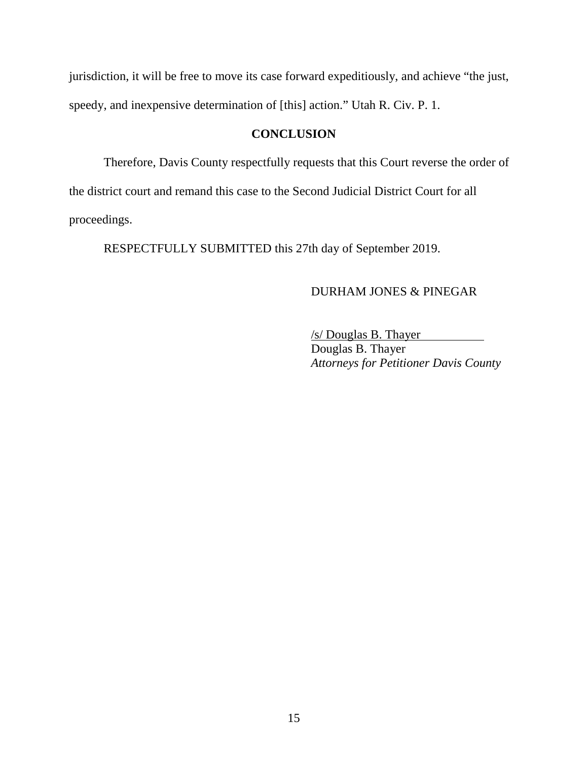jurisdiction, it will be free to move its case forward expeditiously, and achieve "the just, speedy, and inexpensive determination of [this] action." Utah R. Civ. P. 1.

# **CONCLUSION**

Therefore, Davis County respectfully requests that this Court reverse the order of the district court and remand this case to the Second Judicial District Court for all proceedings.

RESPECTFULLY SUBMITTED this 27th day of September 2019.

# DURHAM JONES & PINEGAR

/s/ Douglas B. Thayer Douglas B. Thayer *Attorneys for Petitioner Davis County*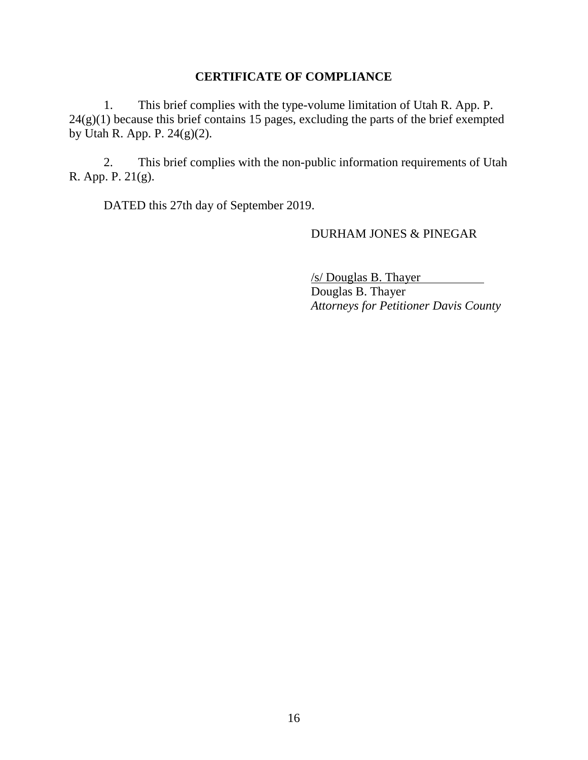# **CERTIFICATE OF COMPLIANCE**

1. This brief complies with the type-volume limitation of Utah R. App. P. 24(g)(1) because this brief contains 15 pages, excluding the parts of the brief exempted by Utah R. App. P. 24(g)(2).

2. This brief complies with the non-public information requirements of Utah R. App. P. 21(g).

DATED this 27th day of September 2019.

## DURHAM JONES & PINEGAR

/s/ Douglas B. Thayer Douglas B. Thayer *Attorneys for Petitioner Davis County*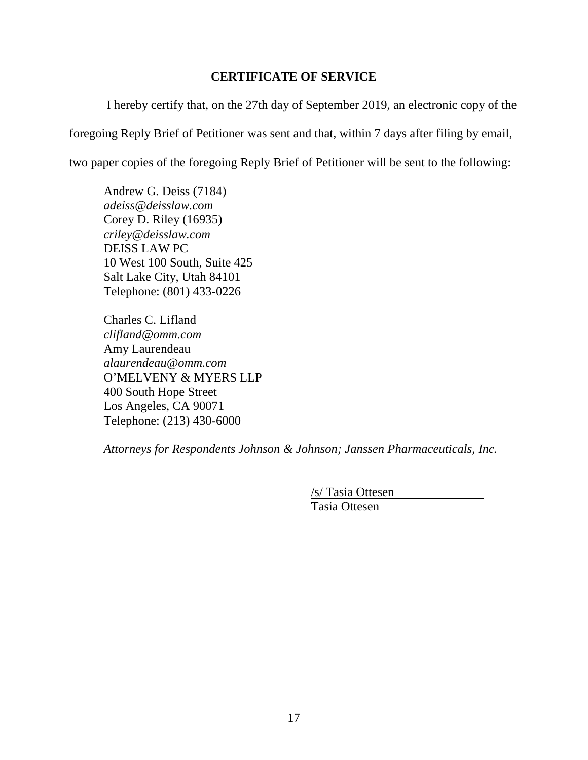## **CERTIFICATE OF SERVICE**

I hereby certify that, on the 27th day of September 2019, an electronic copy of the foregoing Reply Brief of Petitioner was sent and that, within 7 days after filing by email, two paper copies of the foregoing Reply Brief of Petitioner will be sent to the following:

Andrew G. Deiss (7184) *adeiss@deisslaw.com* Corey D. Riley (16935) *criley@deisslaw.com* DEISS LAW PC 10 West 100 South, Suite 425 Salt Lake City, Utah 84101 Telephone: (801) 433-0226

Charles C. Lifland *clifland@omm.com* Amy Laurendeau *alaurendeau@omm.com* O'MELVENY & MYERS LLP 400 South Hope Street Los Angeles, CA 90071 Telephone: (213) 430-6000

*Attorneys for Respondents Johnson & Johnson; Janssen Pharmaceuticals, Inc.*

/s/ Tasia Ottesen Tasia Ottesen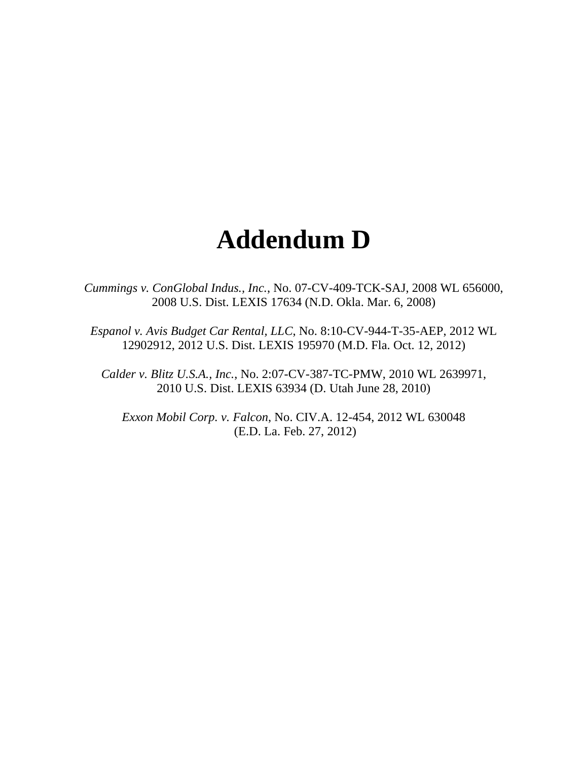# **Addendum D**

*Cummings v. ConGlobal Indus., Inc.*, No. 07-CV-409-TCK-SAJ, 2008 WL 656000, 2008 U.S. Dist. LEXIS 17634 (N.D. Okla. Mar. 6, 2008)

*Espanol v. Avis Budget Car Rental, LLC*, No. 8:10-CV-944-T-35-AEP, 2012 WL 12902912, 2012 U.S. Dist. LEXIS 195970 (M.D. Fla. Oct. 12, 2012)

*Calder v. Blitz U.S.A., Inc.*, No. 2:07-CV-387-TC-PMW, 2010 WL 2639971, 2010 U.S. Dist. LEXIS 63934 (D. Utah June 28, 2010)

*Exxon Mobil Corp. v. Falcon*, No. CIV.A. 12-454, 2012 WL 630048 (E.D. La. Feb. 27, 2012)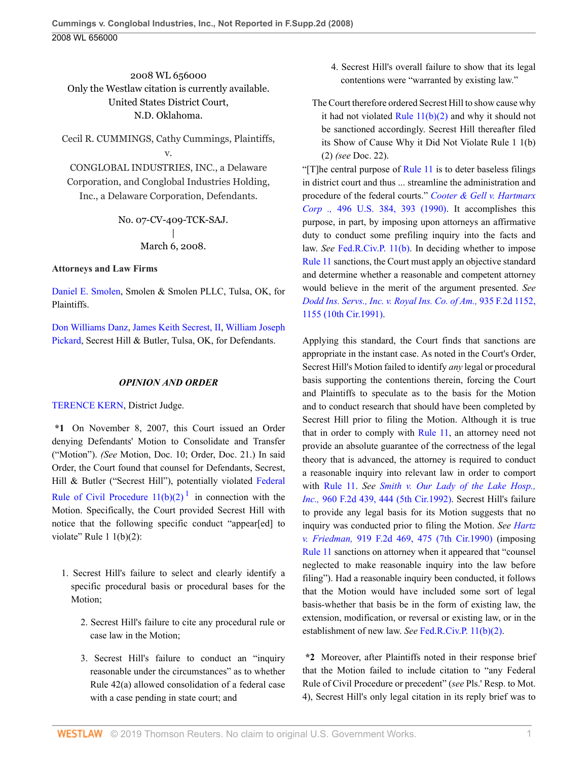2008 WL 656000 Only the Westlaw citation is currently available. United States District Court, N.D. Oklahoma.

Cecil R. CUMMINGS, Cathy Cummings, Plaintiffs,

v.

CONGLOBAL INDUSTRIES, INC., a Delaware Corporation, and Conglobal Industries Holding, Inc., a Delaware Corporation, Defendants.

> No. 07-CV-409-TCK-SAJ. | March 6, 2008.

### **Attorneys and Law Firms**

[Daniel E. Smolen,](http://www.westlaw.com/Link/Document/FullText?findType=h&pubNum=176284&cite=0355859801&originatingDoc=Id00b852bf0f211dcb595a478de34cd72&refType=RQ&originationContext=document&vr=3.0&rs=cblt1.0&transitionType=DocumentItem&contextData=(sc.UserEnteredCitation)) Smolen & Smolen PLLC, Tulsa, OK, for Plaintiffs.

[Don Williams Danz](http://www.westlaw.com/Link/Document/FullText?findType=h&pubNum=176284&cite=0146803901&originatingDoc=Id00b852bf0f211dcb595a478de34cd72&refType=RQ&originationContext=document&vr=3.0&rs=cblt1.0&transitionType=DocumentItem&contextData=(sc.UserEnteredCitation)), [James Keith Secrest, II](http://www.westlaw.com/Link/Document/FullText?findType=h&pubNum=176284&cite=0201507701&originatingDoc=Id00b852bf0f211dcb595a478de34cd72&refType=RQ&originationContext=document&vr=3.0&rs=cblt1.0&transitionType=DocumentItem&contextData=(sc.UserEnteredCitation)), [William Joseph](http://www.westlaw.com/Link/Document/FullText?findType=h&pubNum=176284&cite=0343489901&originatingDoc=Id00b852bf0f211dcb595a478de34cd72&refType=RQ&originationContext=document&vr=3.0&rs=cblt1.0&transitionType=DocumentItem&contextData=(sc.UserEnteredCitation)) [Pickard,](http://www.westlaw.com/Link/Document/FullText?findType=h&pubNum=176284&cite=0343489901&originatingDoc=Id00b852bf0f211dcb595a478de34cd72&refType=RQ&originationContext=document&vr=3.0&rs=cblt1.0&transitionType=DocumentItem&contextData=(sc.UserEnteredCitation)) Secrest Hill & Butler, Tulsa, OK, for Defendants.

## <span id="page-24-0"></span>*OPINION AND ORDER*

[TERENCE KERN,](http://www.westlaw.com/Link/Document/FullText?findType=h&pubNum=176284&cite=0198511101&originatingDoc=Id00b852bf0f211dcb595a478de34cd72&refType=RQ&originationContext=document&vr=3.0&rs=cblt1.0&transitionType=DocumentItem&contextData=(sc.UserEnteredCitation)) District Judge.

**\*1** On November 8, 2007, this Court issued an Order denying Defendants' Motion to Consolidate and Transfer ("Motion"). *(See* Motion, Doc. 10; Order, Doc. 21.) In said Order, the Court found that counsel for Defendants, Secrest, Hill & Butler ("Secrest Hill"), potentially violated [Federal](http://www.westlaw.com/Link/Document/FullText?findType=L&pubNum=1004365&cite=USFRCPR11&originatingDoc=Id00b852bf0f211dcb595a478de34cd72&refType=LQ&originationContext=document&vr=3.0&rs=cblt1.0&transitionType=DocumentItem&contextData=(sc.UserEnteredCitation)) Rule of Civil Procedure  $11(b)(2)^{1}$  $11(b)(2)^{1}$  in connection with the Motion. Specifically, the Court provided Secrest Hill with notice that the following specific conduct "appear[ed] to violate" Rule  $1 \frac{1}{b}(2)$ :

- 1. Secrest Hill's failure to select and clearly identify a specific procedural basis or procedural bases for the Motion;
	- 2. Secrest Hill's failure to cite any procedural rule or case law in the Motion;
	- 3. Secrest Hill's failure to conduct an "inquiry reasonable under the circumstances" as to whether Rule 42(a) allowed consolidation of a federal case with a case pending in state court; and
- 4. Secrest Hill's overall failure to show that its legal contentions were "warranted by existing law."
- The Court therefore ordered Secrest Hill to show cause why it had not violated Rule  $11(b)(2)$  and why it should not be sanctioned accordingly. Secrest Hill thereafter filed its Show of Cause Why it Did Not Violate Rule 1 1(b) (2) *(see* Doc. 22).

"[T]he central purpose of Rule  $11$  is to deter baseless filings in district court and thus ... streamline the administration and procedure of the federal courts." *[Cooter & Gell v. Hartmarx](http://www.westlaw.com/Link/Document/FullText?findType=Y&serNum=1990090458&pubNum=780&originatingDoc=Id00b852bf0f211dcb595a478de34cd72&refType=RP&fi=co_pp_sp_780_393&originationContext=document&vr=3.0&rs=cblt1.0&transitionType=DocumentItem&contextData=(sc.UserEnteredCitation)#co_pp_sp_780_393) Corp .,* [496 U.S. 384, 393 \(1990\).](http://www.westlaw.com/Link/Document/FullText?findType=Y&serNum=1990090458&pubNum=780&originatingDoc=Id00b852bf0f211dcb595a478de34cd72&refType=RP&fi=co_pp_sp_780_393&originationContext=document&vr=3.0&rs=cblt1.0&transitionType=DocumentItem&contextData=(sc.UserEnteredCitation)#co_pp_sp_780_393) It accomplishes this purpose, in part, by imposing upon attorneys an affirmative duty to conduct some prefiling inquiry into the facts and law. *See* [Fed.R.Civ.P. 11\(b\).](http://www.westlaw.com/Link/Document/FullText?findType=L&pubNum=1004365&cite=USFRCPR11&originatingDoc=Id00b852bf0f211dcb595a478de34cd72&refType=LQ&originationContext=document&vr=3.0&rs=cblt1.0&transitionType=DocumentItem&contextData=(sc.UserEnteredCitation)) In deciding whether to impose [Rule 11](http://www.westlaw.com/Link/Document/FullText?findType=L&pubNum=1004365&cite=USFRCPR11&originatingDoc=Id00b852bf0f211dcb595a478de34cd72&refType=LQ&originationContext=document&vr=3.0&rs=cblt1.0&transitionType=DocumentItem&contextData=(sc.UserEnteredCitation)) sanctions, the Court must apply an objective standard and determine whether a reasonable and competent attorney would believe in the merit of the argument presented. *See [Dodd Ins. Servs., Inc. v. Royal Ins. Co. of Am.,](http://www.westlaw.com/Link/Document/FullText?findType=Y&serNum=1991105624&pubNum=350&originatingDoc=Id00b852bf0f211dcb595a478de34cd72&refType=RP&fi=co_pp_sp_350_1155&originationContext=document&vr=3.0&rs=cblt1.0&transitionType=DocumentItem&contextData=(sc.UserEnteredCitation)#co_pp_sp_350_1155)* 935 F.2d 1152, [1155 \(10th Cir.1991\).](http://www.westlaw.com/Link/Document/FullText?findType=Y&serNum=1991105624&pubNum=350&originatingDoc=Id00b852bf0f211dcb595a478de34cd72&refType=RP&fi=co_pp_sp_350_1155&originationContext=document&vr=3.0&rs=cblt1.0&transitionType=DocumentItem&contextData=(sc.UserEnteredCitation)#co_pp_sp_350_1155)

Applying this standard, the Court finds that sanctions are appropriate in the instant case. As noted in the Court's Order, Secrest Hill's Motion failed to identify *any* legal or procedural basis supporting the contentions therein, forcing the Court and Plaintiffs to speculate as to the basis for the Motion and to conduct research that should have been completed by Secrest Hill prior to filing the Motion. Although it is true that in order to comply with [Rule 11,](http://www.westlaw.com/Link/Document/FullText?findType=L&pubNum=1004365&cite=USFRCPR11&originatingDoc=Id00b852bf0f211dcb595a478de34cd72&refType=LQ&originationContext=document&vr=3.0&rs=cblt1.0&transitionType=DocumentItem&contextData=(sc.UserEnteredCitation)) an attorney need not provide an absolute guarantee of the correctness of the legal theory that is advanced, the attorney is required to conduct a reasonable inquiry into relevant law in order to comport with [Rule 11](http://www.westlaw.com/Link/Document/FullText?findType=L&pubNum=1004365&cite=USFRCPR11&originatingDoc=Id00b852bf0f211dcb595a478de34cd72&refType=LQ&originationContext=document&vr=3.0&rs=cblt1.0&transitionType=DocumentItem&contextData=(sc.UserEnteredCitation)). *See [Smith v. Our Lady of the Lake Hosp.,](http://www.westlaw.com/Link/Document/FullText?findType=Y&serNum=1992082335&pubNum=350&originatingDoc=Id00b852bf0f211dcb595a478de34cd72&refType=RP&fi=co_pp_sp_350_444&originationContext=document&vr=3.0&rs=cblt1.0&transitionType=DocumentItem&contextData=(sc.UserEnteredCitation)#co_pp_sp_350_444) Inc.,* [960 F.2d 439, 444 \(5th Cir.1992\)](http://www.westlaw.com/Link/Document/FullText?findType=Y&serNum=1992082335&pubNum=350&originatingDoc=Id00b852bf0f211dcb595a478de34cd72&refType=RP&fi=co_pp_sp_350_444&originationContext=document&vr=3.0&rs=cblt1.0&transitionType=DocumentItem&contextData=(sc.UserEnteredCitation)#co_pp_sp_350_444). Secrest Hill's failure to provide any legal basis for its Motion suggests that no inquiry was conducted prior to filing the Motion. *See [Hartz](http://www.westlaw.com/Link/Document/FullText?findType=Y&serNum=1990171619&pubNum=350&originatingDoc=Id00b852bf0f211dcb595a478de34cd72&refType=RP&fi=co_pp_sp_350_475&originationContext=document&vr=3.0&rs=cblt1.0&transitionType=DocumentItem&contextData=(sc.UserEnteredCitation)#co_pp_sp_350_475) v. Friedman,* [919 F.2d 469, 475 \(7th Cir.1990\)](http://www.westlaw.com/Link/Document/FullText?findType=Y&serNum=1990171619&pubNum=350&originatingDoc=Id00b852bf0f211dcb595a478de34cd72&refType=RP&fi=co_pp_sp_350_475&originationContext=document&vr=3.0&rs=cblt1.0&transitionType=DocumentItem&contextData=(sc.UserEnteredCitation)#co_pp_sp_350_475) (imposing [Rule 11](http://www.westlaw.com/Link/Document/FullText?findType=L&pubNum=1004365&cite=USFRCPR11&originatingDoc=Id00b852bf0f211dcb595a478de34cd72&refType=LQ&originationContext=document&vr=3.0&rs=cblt1.0&transitionType=DocumentItem&contextData=(sc.UserEnteredCitation)) sanctions on attorney when it appeared that "counsel neglected to make reasonable inquiry into the law before filing"). Had a reasonable inquiry been conducted, it follows that the Motion would have included some sort of legal basis-whether that basis be in the form of existing law, the extension, modification, or reversal or existing law, or in the establishment of new law. *See* [Fed.R.Civ.P. 11\(b\)\(2\).](http://www.westlaw.com/Link/Document/FullText?findType=L&pubNum=1004365&cite=USFRCPR11&originatingDoc=Id00b852bf0f211dcb595a478de34cd72&refType=LQ&originationContext=document&vr=3.0&rs=cblt1.0&transitionType=DocumentItem&contextData=(sc.UserEnteredCitation))

**\*2** Moreover, after Plaintiffs noted in their response brief that the Motion failed to include citation to "any Federal Rule of Civil Procedure or precedent" (*see* Pls.' Resp. to Mot. 4), Secrest Hill's only legal citation in its reply brief was to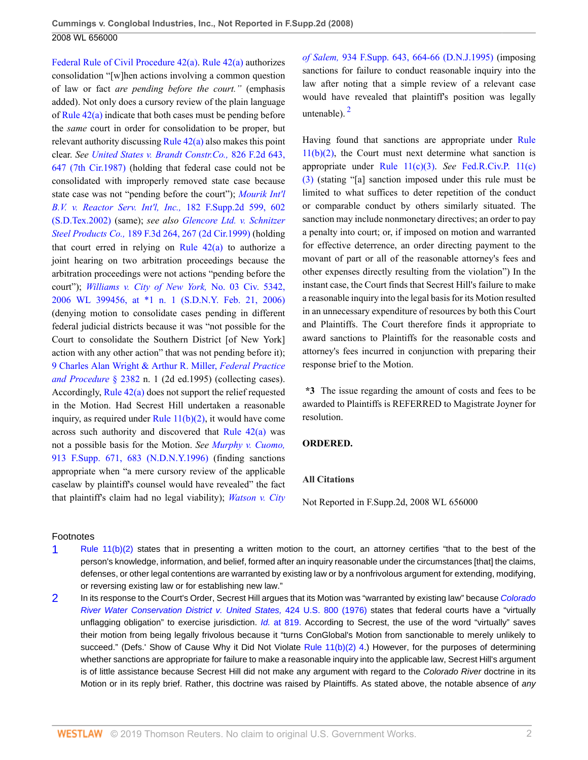[Federal Rule of Civil Procedure 42\(a\).](http://www.westlaw.com/Link/Document/FullText?findType=L&pubNum=1004365&cite=USFRCPR42&originatingDoc=Id00b852bf0f211dcb595a478de34cd72&refType=LQ&originationContext=document&vr=3.0&rs=cblt1.0&transitionType=DocumentItem&contextData=(sc.UserEnteredCitation)) [Rule 42\(a\)](http://www.westlaw.com/Link/Document/FullText?findType=L&pubNum=1004365&cite=USFRCPR42&originatingDoc=Id00b852bf0f211dcb595a478de34cd72&refType=LQ&originationContext=document&vr=3.0&rs=cblt1.0&transitionType=DocumentItem&contextData=(sc.UserEnteredCitation)) authorizes consolidation "[w]hen actions involving a common question of law or fact *are pending before the court."* (emphasis added). Not only does a cursory review of the plain language of Rule  $42(a)$  indicate that both cases must be pending before the *same* court in order for consolidation to be proper, but relevant authority discussing Rule  $42(a)$  also makes this point clear. *See [United States v. Brandt Constr.Co.,](http://www.westlaw.com/Link/Document/FullText?findType=Y&serNum=1987101257&pubNum=350&originatingDoc=Id00b852bf0f211dcb595a478de34cd72&refType=RP&fi=co_pp_sp_350_647&originationContext=document&vr=3.0&rs=cblt1.0&transitionType=DocumentItem&contextData=(sc.UserEnteredCitation)#co_pp_sp_350_647)* 826 F.2d 643, [647 \(7th Cir.1987\)](http://www.westlaw.com/Link/Document/FullText?findType=Y&serNum=1987101257&pubNum=350&originatingDoc=Id00b852bf0f211dcb595a478de34cd72&refType=RP&fi=co_pp_sp_350_647&originationContext=document&vr=3.0&rs=cblt1.0&transitionType=DocumentItem&contextData=(sc.UserEnteredCitation)#co_pp_sp_350_647) (holding that federal case could not be consolidated with improperly removed state case because state case was not "pending before the court"); *[Mourik Int'l](http://www.westlaw.com/Link/Document/FullText?findType=Y&serNum=2002089402&pubNum=4637&originatingDoc=Id00b852bf0f211dcb595a478de34cd72&refType=RP&fi=co_pp_sp_4637_602&originationContext=document&vr=3.0&rs=cblt1.0&transitionType=DocumentItem&contextData=(sc.UserEnteredCitation)#co_pp_sp_4637_602) [B.V. v. Reactor Serv. Int'l, Inc.,](http://www.westlaw.com/Link/Document/FullText?findType=Y&serNum=2002089402&pubNum=4637&originatingDoc=Id00b852bf0f211dcb595a478de34cd72&refType=RP&fi=co_pp_sp_4637_602&originationContext=document&vr=3.0&rs=cblt1.0&transitionType=DocumentItem&contextData=(sc.UserEnteredCitation)#co_pp_sp_4637_602)* 182 F.Supp.2d 599, 602 [\(S.D.Tex.2002\)](http://www.westlaw.com/Link/Document/FullText?findType=Y&serNum=2002089402&pubNum=4637&originatingDoc=Id00b852bf0f211dcb595a478de34cd72&refType=RP&fi=co_pp_sp_4637_602&originationContext=document&vr=3.0&rs=cblt1.0&transitionType=DocumentItem&contextData=(sc.UserEnteredCitation)#co_pp_sp_4637_602) (same); *see also [Glencore Ltd. v. Schnitzer](http://www.westlaw.com/Link/Document/FullText?findType=Y&serNum=1999195294&pubNum=506&originatingDoc=Id00b852bf0f211dcb595a478de34cd72&refType=RP&fi=co_pp_sp_506_267&originationContext=document&vr=3.0&rs=cblt1.0&transitionType=DocumentItem&contextData=(sc.UserEnteredCitation)#co_pp_sp_506_267) Steel Products Co.,* [189 F.3d 264, 267 \(2d Cir.1999\)](http://www.westlaw.com/Link/Document/FullText?findType=Y&serNum=1999195294&pubNum=506&originatingDoc=Id00b852bf0f211dcb595a478de34cd72&refType=RP&fi=co_pp_sp_506_267&originationContext=document&vr=3.0&rs=cblt1.0&transitionType=DocumentItem&contextData=(sc.UserEnteredCitation)#co_pp_sp_506_267) (holding that court erred in relying on Rule  $42(a)$  to authorize a joint hearing on two arbitration proceedings because the arbitration proceedings were not actions "pending before the court"); *[Williams v. City of New York,](http://www.westlaw.com/Link/Document/FullText?findType=Y&serNum=2008500624&pubNum=0000999&originatingDoc=Id00b852bf0f211dcb595a478de34cd72&refType=RP&originationContext=document&vr=3.0&rs=cblt1.0&transitionType=DocumentItem&contextData=(sc.UserEnteredCitation))* No. 03 Civ. 5342, [2006 WL 399456, at \\*1 n. 1 \(S.D.N.Y. Feb. 21, 2006\)](http://www.westlaw.com/Link/Document/FullText?findType=Y&serNum=2008500624&pubNum=0000999&originatingDoc=Id00b852bf0f211dcb595a478de34cd72&refType=RP&originationContext=document&vr=3.0&rs=cblt1.0&transitionType=DocumentItem&contextData=(sc.UserEnteredCitation)) (denying motion to consolidate cases pending in different federal judicial districts because it was "not possible for the Court to consolidate the Southern District [of New York] action with any other action" that was not pending before it); [9 Charles Alan Wright & Arthur R. Miller,](http://www.westlaw.com/Link/Document/FullText?findType=Y&serNum=0104890239&pubNum=0102228&originatingDoc=Id00b852bf0f211dcb595a478de34cd72&refType=TS&originationContext=document&vr=3.0&rs=cblt1.0&transitionType=DocumentItem&contextData=(sc.UserEnteredCitation)) *Federal Practice [and Procedure](http://www.westlaw.com/Link/Document/FullText?findType=Y&serNum=0104890239&pubNum=0102228&originatingDoc=Id00b852bf0f211dcb595a478de34cd72&refType=TS&originationContext=document&vr=3.0&rs=cblt1.0&transitionType=DocumentItem&contextData=(sc.UserEnteredCitation))* § 2382 n. 1 (2d ed.1995) (collecting cases). Accordingly, [Rule 42\(a\)](http://www.westlaw.com/Link/Document/FullText?findType=L&pubNum=1004365&cite=USFRCPR42&originatingDoc=Id00b852bf0f211dcb595a478de34cd72&refType=LQ&originationContext=document&vr=3.0&rs=cblt1.0&transitionType=DocumentItem&contextData=(sc.UserEnteredCitation)) does not support the relief requested in the Motion. Had Secrest Hill undertaken a reasonable inquiry, as required under Rule  $11(b)(2)$ , it would have come across such authority and discovered that Rule  $42(a)$  was not a possible basis for the Motion. *See [Murphy v. Cuomo,](http://www.westlaw.com/Link/Document/FullText?findType=Y&serNum=1996048706&pubNum=345&originatingDoc=Id00b852bf0f211dcb595a478de34cd72&refType=RP&fi=co_pp_sp_345_683&originationContext=document&vr=3.0&rs=cblt1.0&transitionType=DocumentItem&contextData=(sc.UserEnteredCitation)#co_pp_sp_345_683)* [913 F.Supp. 671, 683 \(N.D.N.Y.1996\)](http://www.westlaw.com/Link/Document/FullText?findType=Y&serNum=1996048706&pubNum=345&originatingDoc=Id00b852bf0f211dcb595a478de34cd72&refType=RP&fi=co_pp_sp_345_683&originationContext=document&vr=3.0&rs=cblt1.0&transitionType=DocumentItem&contextData=(sc.UserEnteredCitation)#co_pp_sp_345_683) (finding sanctions appropriate when "a mere cursory review of the applicable caselaw by plaintiff's counsel would have revealed" the fact that plaintiff's claim had no legal viability); *[Watson v. City](http://www.westlaw.com/Link/Document/FullText?findType=Y&serNum=1996173395&pubNum=345&originatingDoc=Id00b852bf0f211dcb595a478de34cd72&refType=RP&fi=co_pp_sp_345_664&originationContext=document&vr=3.0&rs=cblt1.0&transitionType=DocumentItem&contextData=(sc.UserEnteredCitation)#co_pp_sp_345_664)* *of Salem,* [934 F.Supp. 643, 664-66 \(D.N.J.1995\)](http://www.westlaw.com/Link/Document/FullText?findType=Y&serNum=1996173395&pubNum=345&originatingDoc=Id00b852bf0f211dcb595a478de34cd72&refType=RP&fi=co_pp_sp_345_664&originationContext=document&vr=3.0&rs=cblt1.0&transitionType=DocumentItem&contextData=(sc.UserEnteredCitation)#co_pp_sp_345_664) (imposing sanctions for failure to conduct reasonable inquiry into the law after noting that a simple review of a relevant case would have revealed that plaintiff's position was legally untenable).  $2^{\circ}$  $2^{\circ}$ 

<span id="page-25-2"></span>Having found that sanctions are appropriate under [Rule](http://www.westlaw.com/Link/Document/FullText?findType=L&pubNum=1004365&cite=USFRCPR11&originatingDoc=Id00b852bf0f211dcb595a478de34cd72&refType=LQ&originationContext=document&vr=3.0&rs=cblt1.0&transitionType=DocumentItem&contextData=(sc.UserEnteredCitation))  $11(b)(2)$ , the Court must next determine what sanction is appropriate under [Rule 11\(c\)\(3\).](http://www.westlaw.com/Link/Document/FullText?findType=L&pubNum=1004365&cite=USFRCPR11&originatingDoc=Id00b852bf0f211dcb595a478de34cd72&refType=LQ&originationContext=document&vr=3.0&rs=cblt1.0&transitionType=DocumentItem&contextData=(sc.UserEnteredCitation)) *See* [Fed.R.Civ.P. 11\(c\)](http://www.westlaw.com/Link/Document/FullText?findType=L&pubNum=1004365&cite=USFRCPR11&originatingDoc=Id00b852bf0f211dcb595a478de34cd72&refType=LQ&originationContext=document&vr=3.0&rs=cblt1.0&transitionType=DocumentItem&contextData=(sc.UserEnteredCitation)) [\(3\)](http://www.westlaw.com/Link/Document/FullText?findType=L&pubNum=1004365&cite=USFRCPR11&originatingDoc=Id00b852bf0f211dcb595a478de34cd72&refType=LQ&originationContext=document&vr=3.0&rs=cblt1.0&transitionType=DocumentItem&contextData=(sc.UserEnteredCitation)) (stating "[a] sanction imposed under this rule must be limited to what suffices to deter repetition of the conduct or comparable conduct by others similarly situated. The sanction may include nonmonetary directives; an order to pay a penalty into court; or, if imposed on motion and warranted for effective deterrence, an order directing payment to the movant of part or all of the reasonable attorney's fees and other expenses directly resulting from the violation") In the instant case, the Court finds that Secrest Hill's failure to make a reasonable inquiry into the legal basis for its Motion resulted in an unnecessary expenditure of resources by both this Court and Plaintiffs. The Court therefore finds it appropriate to award sanctions to Plaintiffs for the reasonable costs and attorney's fees incurred in conjunction with preparing their response brief to the Motion.

**\*3** The issue regarding the amount of costs and fees to be awarded to Plaintiffs is REFERRED to Magistrate Joyner for resolution.

#### **ORDERED.**

#### **All Citations**

Not Reported in F.Supp.2d, 2008 WL 656000

#### Footnotes

- <span id="page-25-0"></span>[1](#page-24-0) [Rule 11\(b\)\(2\)](http://www.westlaw.com/Link/Document/FullText?findType=L&pubNum=1004365&cite=USFRCPR11&originatingDoc=Id00b852bf0f211dcb595a478de34cd72&refType=LQ&originationContext=document&vr=3.0&rs=cblt1.0&transitionType=DocumentItem&contextData=(sc.UserEnteredCitation)) states that in presenting a written motion to the court, an attorney certifies "that to the best of the person's knowledge, information, and belief, formed after an inquiry reasonable under the circumstances [that] the claims, defenses, or other legal contentions are warranted by existing law or by a nonfrivolous argument for extending, modifying, or reversing existing law or for establishing new law."
- <span id="page-25-1"></span>[2](#page-25-2) In its response to the Court's Order, Secrest Hill argues that its Motion was "warranted by existing law" because [Colorado](http://www.westlaw.com/Link/Document/FullText?findType=Y&serNum=1976142340&pubNum=780&originatingDoc=Id00b852bf0f211dcb595a478de34cd72&refType=RP&originationContext=document&vr=3.0&rs=cblt1.0&transitionType=DocumentItem&contextData=(sc.UserEnteredCitation)) [River Water Conservation District v. United States,](http://www.westlaw.com/Link/Document/FullText?findType=Y&serNum=1976142340&pubNum=780&originatingDoc=Id00b852bf0f211dcb595a478de34cd72&refType=RP&originationContext=document&vr=3.0&rs=cblt1.0&transitionType=DocumentItem&contextData=(sc.UserEnteredCitation)) 424 U.S. 800 (1976) states that federal courts have a "virtually unflagging obligation" to exercise jurisdiction. Id. [at 819.](http://www.westlaw.com/Link/Document/FullText?findType=Y&serNum=1976142340&originatingDoc=Id00b852bf0f211dcb595a478de34cd72&refType=RP&originationContext=document&vr=3.0&rs=cblt1.0&transitionType=DocumentItem&contextData=(sc.UserEnteredCitation)) According to Secrest, the use of the word "virtually" saves their motion from being legally frivolous because it "turns ConGlobal's Motion from sanctionable to merely unlikely to succeed." (Defs.' Show of Cause Why it Did Not Violate [Rule 11\(b\)\(2\)](http://www.westlaw.com/Link/Document/FullText?findType=L&pubNum=1004365&cite=USFRCPR11&originatingDoc=Id00b852bf0f211dcb595a478de34cd72&refType=LQ&originationContext=document&vr=3.0&rs=cblt1.0&transitionType=DocumentItem&contextData=(sc.UserEnteredCitation)) [4](http://www.westlaw.com/Link/Document/FullText?findType=L&pubNum=1004365&cite=USFRCPR4&originatingDoc=Id00b852bf0f211dcb595a478de34cd72&refType=LQ&originationContext=document&vr=3.0&rs=cblt1.0&transitionType=DocumentItem&contextData=(sc.UserEnteredCitation)).) However, for the purposes of determining whether sanctions are appropriate for failure to make a reasonable inquiry into the applicable law, Secrest Hill's argument is of little assistance because Secrest Hill did not make any argument with regard to the Colorado River doctrine in its Motion or in its reply brief. Rather, this doctrine was raised by Plaintiffs. As stated above, the notable absence of any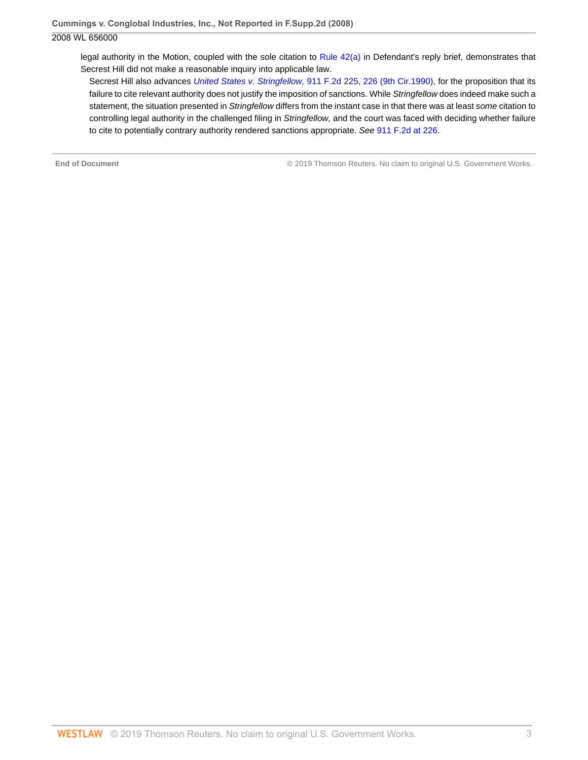## 2008 WL 656000

legal authority in the Motion, coupled with the sole citation to Rule  $42(a)$  in Defendant's reply brief, demonstrates that Secrest Hill did not make a reasonable inquiry into applicable law.

Secrest Hill also advances United States v. Stringfellow, [911 F.2d 225, 226 \(9th Cir.1990\)](http://www.westlaw.com/Link/Document/FullText?findType=Y&serNum=1990118843&pubNum=350&originatingDoc=Id00b852bf0f211dcb595a478de34cd72&refType=RP&fi=co_pp_sp_350_226&originationContext=document&vr=3.0&rs=cblt1.0&transitionType=DocumentItem&contextData=(sc.UserEnteredCitation)#co_pp_sp_350_226), for the proposition that its failure to cite relevant authority does not justify the imposition of sanctions. While Stringfellow does indeed make such a statement, the situation presented in Stringfellow differs from the instant case in that there was at least some citation to controlling legal authority in the challenged filing in Stringfellow, and the court was faced with deciding whether failure to cite to potentially contrary authority rendered sanctions appropriate. See [911 F.2d at 226.](http://www.westlaw.com/Link/Document/FullText?findType=Y&serNum=1990118843&pubNum=350&originatingDoc=Id00b852bf0f211dcb595a478de34cd72&refType=RP&fi=co_pp_sp_350_226&originationContext=document&vr=3.0&rs=cblt1.0&transitionType=DocumentItem&contextData=(sc.UserEnteredCitation)#co_pp_sp_350_226)

**End of Document** © 2019 Thomson Reuters. No claim to original U.S. Government Works.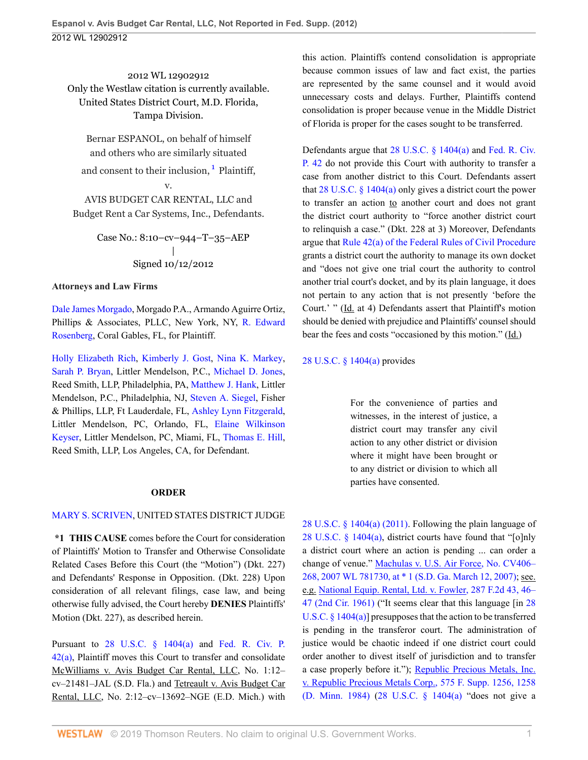2012 WL 12902912 Only the Westlaw citation is currently available. United States District Court, M.D. Florida, Tampa Division.

Bernar ESPANOL, on behalf of himself and others who are similarly situated

and consent to their inclusion, <sup>[1](#page-28-0)</sup> Plaintiff, v.

AVIS BUDGET CAR RENTAL, LLC and Budget Rent a Car Systems, Inc., Defendants.

> Case No.: 8:10–cv–944–T–35–AEP | Signed 10/12/2012

### **Attorneys and Law Firms**

[Dale James Morgado,](http://www.westlaw.com/Link/Document/FullText?findType=h&pubNum=176284&cite=0398216701&originatingDoc=I975ec620bea911e6972aa83e6c16e5f7&refType=RQ&originationContext=document&vr=3.0&rs=cblt1.0&transitionType=DocumentItem&contextData=(sc.UserEnteredCitation)) Morgado P.A., Armando Aguirre Ortiz, Phillips & Associates, PLLC, New York, NY, [R. Edward](http://www.westlaw.com/Link/Document/FullText?findType=h&pubNum=176284&cite=0482155801&originatingDoc=I975ec620bea911e6972aa83e6c16e5f7&refType=RQ&originationContext=document&vr=3.0&rs=cblt1.0&transitionType=DocumentItem&contextData=(sc.UserEnteredCitation)) [Rosenberg,](http://www.westlaw.com/Link/Document/FullText?findType=h&pubNum=176284&cite=0482155801&originatingDoc=I975ec620bea911e6972aa83e6c16e5f7&refType=RQ&originationContext=document&vr=3.0&rs=cblt1.0&transitionType=DocumentItem&contextData=(sc.UserEnteredCitation)) Coral Gables, FL, for Plaintiff.

[Holly Elizabeth Rich](http://www.westlaw.com/Link/Document/FullText?findType=h&pubNum=176284&cite=0446704501&originatingDoc=I975ec620bea911e6972aa83e6c16e5f7&refType=RQ&originationContext=document&vr=3.0&rs=cblt1.0&transitionType=DocumentItem&contextData=(sc.UserEnteredCitation)), [Kimberly J. Gost,](http://www.westlaw.com/Link/Document/FullText?findType=h&pubNum=176284&cite=0326105301&originatingDoc=I975ec620bea911e6972aa83e6c16e5f7&refType=RQ&originationContext=document&vr=3.0&rs=cblt1.0&transitionType=DocumentItem&contextData=(sc.UserEnteredCitation)) [Nina K. Markey](http://www.westlaw.com/Link/Document/FullText?findType=h&pubNum=176284&cite=0389074101&originatingDoc=I975ec620bea911e6972aa83e6c16e5f7&refType=RQ&originationContext=document&vr=3.0&rs=cblt1.0&transitionType=DocumentItem&contextData=(sc.UserEnteredCitation)), [Sarah P. Bryan](http://www.westlaw.com/Link/Document/FullText?findType=h&pubNum=176284&cite=0425757301&originatingDoc=I975ec620bea911e6972aa83e6c16e5f7&refType=RQ&originationContext=document&vr=3.0&rs=cblt1.0&transitionType=DocumentItem&contextData=(sc.UserEnteredCitation)), Littler Mendelson, P.C., [Michael D. Jones](http://www.westlaw.com/Link/Document/FullText?findType=h&pubNum=176284&cite=0137726201&originatingDoc=I975ec620bea911e6972aa83e6c16e5f7&refType=RQ&originationContext=document&vr=3.0&rs=cblt1.0&transitionType=DocumentItem&contextData=(sc.UserEnteredCitation)), Reed Smith, LLP, Philadelphia, PA, [Matthew J. Hank](http://www.westlaw.com/Link/Document/FullText?findType=h&pubNum=176284&cite=0358579201&originatingDoc=I975ec620bea911e6972aa83e6c16e5f7&refType=RQ&originationContext=document&vr=3.0&rs=cblt1.0&transitionType=DocumentItem&contextData=(sc.UserEnteredCitation)), Littler Mendelson, P.C., Philadelphia, NJ, [Steven A. Siegel](http://www.westlaw.com/Link/Document/FullText?findType=h&pubNum=176284&cite=0253283001&originatingDoc=I975ec620bea911e6972aa83e6c16e5f7&refType=RQ&originationContext=document&vr=3.0&rs=cblt1.0&transitionType=DocumentItem&contextData=(sc.UserEnteredCitation)), Fisher & Phillips, LLP, Ft Lauderdale, FL, [Ashley Lynn Fitzgerald](http://www.westlaw.com/Link/Document/FullText?findType=h&pubNum=176284&cite=0346678301&originatingDoc=I975ec620bea911e6972aa83e6c16e5f7&refType=RQ&originationContext=document&vr=3.0&rs=cblt1.0&transitionType=DocumentItem&contextData=(sc.UserEnteredCitation)), Littler Mendelson, PC, Orlando, FL, [Elaine Wilkinson](http://www.westlaw.com/Link/Document/FullText?findType=h&pubNum=176284&cite=0364065101&originatingDoc=I975ec620bea911e6972aa83e6c16e5f7&refType=RQ&originationContext=document&vr=3.0&rs=cblt1.0&transitionType=DocumentItem&contextData=(sc.UserEnteredCitation)) [Keyser](http://www.westlaw.com/Link/Document/FullText?findType=h&pubNum=176284&cite=0364065101&originatingDoc=I975ec620bea911e6972aa83e6c16e5f7&refType=RQ&originationContext=document&vr=3.0&rs=cblt1.0&transitionType=DocumentItem&contextData=(sc.UserEnteredCitation)), Littler Mendelson, PC, Miami, FL, [Thomas E. Hill](http://www.westlaw.com/Link/Document/FullText?findType=h&pubNum=176284&cite=0121726001&originatingDoc=I975ec620bea911e6972aa83e6c16e5f7&refType=RQ&originationContext=document&vr=3.0&rs=cblt1.0&transitionType=DocumentItem&contextData=(sc.UserEnteredCitation)), Reed Smith, LLP, Los Angeles, CA, for Defendant.

#### **ORDER**

## [MARY S. SCRIVEN](http://www.westlaw.com/Link/Document/FullText?findType=h&pubNum=176284&cite=0126668801&originatingDoc=I975ec620bea911e6972aa83e6c16e5f7&refType=RQ&originationContext=document&vr=3.0&rs=cblt1.0&transitionType=DocumentItem&contextData=(sc.UserEnteredCitation)), UNITED STATES DISTRICT JUDGE

**\*1 THIS CAUSE** comes before the Court for consideration of Plaintiffs' Motion to Transfer and Otherwise Consolidate Related Cases Before this Court (the "Motion") (Dkt. 227) and Defendants' Response in Opposition. (Dkt. 228) Upon consideration of all relevant filings, case law, and being otherwise fully advised, the Court hereby **DENIES** Plaintiffs' Motion (Dkt. 227), as described herein.

Pursuant to [28 U.S.C. § 1404\(a\)](http://www.westlaw.com/Link/Document/FullText?findType=L&pubNum=1000546&cite=28USCAS1404&originatingDoc=I975ec620bea911e6972aa83e6c16e5f7&refType=RB&originationContext=document&vr=3.0&rs=cblt1.0&transitionType=DocumentItem&contextData=(sc.UserEnteredCitation)#co_pp_8b3b0000958a4) and [Fed. R. Civ. P.](http://www.westlaw.com/Link/Document/FullText?findType=L&pubNum=1000600&cite=USFRCPR42&originatingDoc=I975ec620bea911e6972aa83e6c16e5f7&refType=LQ&originationContext=document&vr=3.0&rs=cblt1.0&transitionType=DocumentItem&contextData=(sc.UserEnteredCitation))  $42(a)$ , Plaintiff moves this Court to transfer and consolidate McWilliams v. Avis Budget Car Rental, LLC, No. 1:12– cv–21481–JAL (S.D. Fla.) and Tetreault v. Avis Budget Car Rental, LLC, No. 2:12–cv–13692–NGE (E.D. Mich.) with

this action. Plaintiffs contend consolidation is appropriate because common issues of law and fact exist, the parties are represented by the same counsel and it would avoid unnecessary costs and delays. Further, Plaintiffs contend consolidation is proper because venue in the Middle District of Florida is proper for the cases sought to be transferred.

<span id="page-27-0"></span>Defendants argue that [28 U.S.C. § 1404\(a\)](http://www.westlaw.com/Link/Document/FullText?findType=L&pubNum=1000546&cite=28USCAS1404&originatingDoc=I975ec620bea911e6972aa83e6c16e5f7&refType=RB&originationContext=document&vr=3.0&rs=cblt1.0&transitionType=DocumentItem&contextData=(sc.UserEnteredCitation)#co_pp_8b3b0000958a4) and [Fed. R. Civ.](http://www.westlaw.com/Link/Document/FullText?findType=L&pubNum=1000600&cite=USFRCPR42&originatingDoc=I975ec620bea911e6972aa83e6c16e5f7&refType=LQ&originationContext=document&vr=3.0&rs=cblt1.0&transitionType=DocumentItem&contextData=(sc.UserEnteredCitation)) [P. 42](http://www.westlaw.com/Link/Document/FullText?findType=L&pubNum=1000600&cite=USFRCPR42&originatingDoc=I975ec620bea911e6972aa83e6c16e5f7&refType=LQ&originationContext=document&vr=3.0&rs=cblt1.0&transitionType=DocumentItem&contextData=(sc.UserEnteredCitation)) do not provide this Court with authority to transfer a case from another district to this Court. Defendants assert that [28 U.S.C. § 1404\(a\)](http://www.westlaw.com/Link/Document/FullText?findType=L&pubNum=1000546&cite=28USCAS1404&originatingDoc=I975ec620bea911e6972aa83e6c16e5f7&refType=RB&originationContext=document&vr=3.0&rs=cblt1.0&transitionType=DocumentItem&contextData=(sc.UserEnteredCitation)#co_pp_8b3b0000958a4) only gives a district court the power to transfer an action to another court and does not grant the district court authority to "force another district court to relinquish a case." (Dkt. 228 at 3) Moreover, Defendants argue that [Rule 42\(a\) of the Federal Rules of Civil Procedure](http://www.westlaw.com/Link/Document/FullText?findType=L&pubNum=1000600&cite=USFRCPR42&originatingDoc=I975ec620bea911e6972aa83e6c16e5f7&refType=LQ&originationContext=document&vr=3.0&rs=cblt1.0&transitionType=DocumentItem&contextData=(sc.UserEnteredCitation)) grants a district court the authority to manage its own docket and "does not give one trial court the authority to control another trial court's docket, and by its plain language, it does not pertain to any action that is not presently 'before the Court.' " (Id. at 4) Defendants assert that Plaintiff's motion should be denied with prejudice and Plaintiffs' counsel should bear the fees and costs "occasioned by this motion." (Id.)

### [28 U.S.C. § 1404\(a\)](http://www.westlaw.com/Link/Document/FullText?findType=L&pubNum=1000546&cite=28USCAS1404&originatingDoc=I975ec620bea911e6972aa83e6c16e5f7&refType=RB&originationContext=document&vr=3.0&rs=cblt1.0&transitionType=DocumentItem&contextData=(sc.UserEnteredCitation)#co_pp_8b3b0000958a4) provides

For the convenience of parties and witnesses, in the interest of justice, a district court may transfer any civil action to any other district or division where it might have been brought or to any district or division to which all parties have consented.

[28 U.S.C. § 1404\(a\) \(2011\).](http://www.westlaw.com/Link/Document/FullText?findType=L&pubNum=1000546&cite=28USCAS1404&originatingDoc=I975ec620bea911e6972aa83e6c16e5f7&refType=RB&originationContext=document&vr=3.0&rs=cblt1.0&transitionType=DocumentItem&contextData=(sc.UserEnteredCitation)#co_pp_8b3b0000958a4) Following the plain language of [28 U.S.C. § 1404\(a\),](http://www.westlaw.com/Link/Document/FullText?findType=L&pubNum=1000546&cite=28USCAS1404&originatingDoc=I975ec620bea911e6972aa83e6c16e5f7&refType=RB&originationContext=document&vr=3.0&rs=cblt1.0&transitionType=DocumentItem&contextData=(sc.UserEnteredCitation)#co_pp_8b3b0000958a4) district courts have found that "[o]nly a district court where an action is pending ... can order a change of venue." Machulas v. U.S. Air Force, No. CV406-[268, 2007 WL 781730, at \\* 1 \(S.D. Ga. March 12, 2007\);](http://www.westlaw.com/Link/Document/FullText?findType=Y&serNum=2011710009&pubNum=0000999&originatingDoc=I975ec620bea911e6972aa83e6c16e5f7&refType=RP&originationContext=document&vr=3.0&rs=cblt1.0&transitionType=DocumentItem&contextData=(sc.UserEnteredCitation)) see. e.g. [National Equip. Rental, Ltd. v. Fowler, 287 F.2d 43, 46–](http://www.westlaw.com/Link/Document/FullText?findType=Y&serNum=1961103147&pubNum=0000350&originatingDoc=I975ec620bea911e6972aa83e6c16e5f7&refType=RP&fi=co_pp_sp_350_46&originationContext=document&vr=3.0&rs=cblt1.0&transitionType=DocumentItem&contextData=(sc.UserEnteredCitation)#co_pp_sp_350_46) [47 \(2nd Cir. 1961\)](http://www.westlaw.com/Link/Document/FullText?findType=Y&serNum=1961103147&pubNum=0000350&originatingDoc=I975ec620bea911e6972aa83e6c16e5f7&refType=RP&fi=co_pp_sp_350_46&originationContext=document&vr=3.0&rs=cblt1.0&transitionType=DocumentItem&contextData=(sc.UserEnteredCitation)#co_pp_sp_350_46) ("It seems clear that this language [in [28](http://www.westlaw.com/Link/Document/FullText?findType=L&pubNum=1000546&cite=28USCAS1404&originatingDoc=I975ec620bea911e6972aa83e6c16e5f7&refType=RB&originationContext=document&vr=3.0&rs=cblt1.0&transitionType=DocumentItem&contextData=(sc.UserEnteredCitation)#co_pp_8b3b0000958a4) [U.S.C. § 1404\(a\)\]](http://www.westlaw.com/Link/Document/FullText?findType=L&pubNum=1000546&cite=28USCAS1404&originatingDoc=I975ec620bea911e6972aa83e6c16e5f7&refType=RB&originationContext=document&vr=3.0&rs=cblt1.0&transitionType=DocumentItem&contextData=(sc.UserEnteredCitation)#co_pp_8b3b0000958a4) presupposes that the action to be transferred is pending in the transferor court. The administration of justice would be chaotic indeed if one district court could order another to divest itself of jurisdiction and to transfer a case properly before it."); [Republic Precious Metals, Inc.](http://www.westlaw.com/Link/Document/FullText?findType=Y&serNum=1984100907&pubNum=0000345&originatingDoc=I975ec620bea911e6972aa83e6c16e5f7&refType=RP&fi=co_pp_sp_345_1258&originationContext=document&vr=3.0&rs=cblt1.0&transitionType=DocumentItem&contextData=(sc.UserEnteredCitation)#co_pp_sp_345_1258) [v. Republic Precious Metals Corp., 575 F. Supp. 1256, 1258](http://www.westlaw.com/Link/Document/FullText?findType=Y&serNum=1984100907&pubNum=0000345&originatingDoc=I975ec620bea911e6972aa83e6c16e5f7&refType=RP&fi=co_pp_sp_345_1258&originationContext=document&vr=3.0&rs=cblt1.0&transitionType=DocumentItem&contextData=(sc.UserEnteredCitation)#co_pp_sp_345_1258) [\(D. Minn. 1984\)](http://www.westlaw.com/Link/Document/FullText?findType=Y&serNum=1984100907&pubNum=0000345&originatingDoc=I975ec620bea911e6972aa83e6c16e5f7&refType=RP&fi=co_pp_sp_345_1258&originationContext=document&vr=3.0&rs=cblt1.0&transitionType=DocumentItem&contextData=(sc.UserEnteredCitation)#co_pp_sp_345_1258) ([28 U.S.C. § 1404\(a\)](http://www.westlaw.com/Link/Document/FullText?findType=L&pubNum=1000546&cite=28USCAS1404&originatingDoc=I975ec620bea911e6972aa83e6c16e5f7&refType=RB&originationContext=document&vr=3.0&rs=cblt1.0&transitionType=DocumentItem&contextData=(sc.UserEnteredCitation)#co_pp_8b3b0000958a4) "does not give a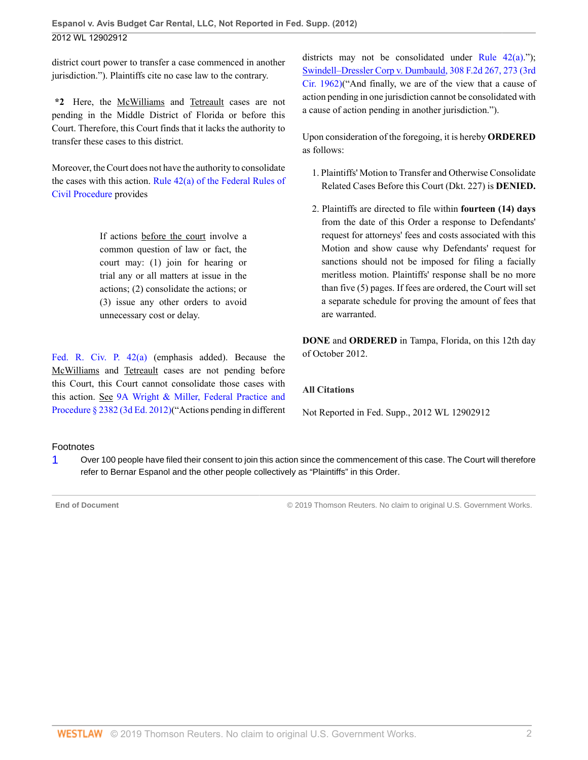district court power to transfer a case commenced in another jurisdiction."). Plaintiffs cite no case law to the contrary.

**\*2** Here, the McWilliams and Tetreault cases are not pending in the Middle District of Florida or before this Court. Therefore, this Court finds that it lacks the authority to transfer these cases to this district.

Moreover, the Court does not have the authority to consolidate the cases with this action. [Rule 42\(a\) of the Federal Rules of](http://www.westlaw.com/Link/Document/FullText?findType=L&pubNum=1000600&cite=USFRCPR42&originatingDoc=I975ec620bea911e6972aa83e6c16e5f7&refType=LQ&originationContext=document&vr=3.0&rs=cblt1.0&transitionType=DocumentItem&contextData=(sc.UserEnteredCitation)) [Civil Procedure](http://www.westlaw.com/Link/Document/FullText?findType=L&pubNum=1000600&cite=USFRCPR42&originatingDoc=I975ec620bea911e6972aa83e6c16e5f7&refType=LQ&originationContext=document&vr=3.0&rs=cblt1.0&transitionType=DocumentItem&contextData=(sc.UserEnteredCitation)) provides

> If actions before the court involve a common question of law or fact, the court may: (1) join for hearing or trial any or all matters at issue in the actions; (2) consolidate the actions; or (3) issue any other orders to avoid unnecessary cost or delay.

[Fed. R. Civ. P. 42\(a\)](http://www.westlaw.com/Link/Document/FullText?findType=L&pubNum=1000600&cite=USFRCPR42&originatingDoc=I975ec620bea911e6972aa83e6c16e5f7&refType=LQ&originationContext=document&vr=3.0&rs=cblt1.0&transitionType=DocumentItem&contextData=(sc.UserEnteredCitation)) (emphasis added). Because the McWilliams and Tetreault cases are not pending before this Court, this Court cannot consolidate those cases with this action. See [9A Wright & Miller, Federal Practice and](http://www.westlaw.com/Link/Document/FullText?findType=Y&serNum=0104890239&pubNum=0102228&originatingDoc=I975ec620bea911e6972aa83e6c16e5f7&refType=TS&originationContext=document&vr=3.0&rs=cblt1.0&transitionType=DocumentItem&contextData=(sc.UserEnteredCitation)) [Procedure § 2382 \(3d Ed. 2012\)\(](http://www.westlaw.com/Link/Document/FullText?findType=Y&serNum=0104890239&pubNum=0102228&originatingDoc=I975ec620bea911e6972aa83e6c16e5f7&refType=TS&originationContext=document&vr=3.0&rs=cblt1.0&transitionType=DocumentItem&contextData=(sc.UserEnteredCitation))"Actions pending in different districts may not be consolidated under Rule  $42(a)$ ."); [Swindell–Dressler Corp v. Dumbauld, 308 F.2d 267, 273 \(3rd](http://www.westlaw.com/Link/Document/FullText?findType=Y&serNum=1962115772&pubNum=0000350&originatingDoc=I975ec620bea911e6972aa83e6c16e5f7&refType=RP&fi=co_pp_sp_350_273&originationContext=document&vr=3.0&rs=cblt1.0&transitionType=DocumentItem&contextData=(sc.UserEnteredCitation)#co_pp_sp_350_273) [Cir. 1962\)\(](http://www.westlaw.com/Link/Document/FullText?findType=Y&serNum=1962115772&pubNum=0000350&originatingDoc=I975ec620bea911e6972aa83e6c16e5f7&refType=RP&fi=co_pp_sp_350_273&originationContext=document&vr=3.0&rs=cblt1.0&transitionType=DocumentItem&contextData=(sc.UserEnteredCitation)#co_pp_sp_350_273)"And finally, we are of the view that a cause of action pending in one jurisdiction cannot be consolidated with a cause of action pending in another jurisdiction.").

Upon consideration of the foregoing, it is hereby **ORDERED** as follows:

- 1. Plaintiffs' Motion to Transfer and Otherwise Consolidate Related Cases Before this Court (Dkt. 227) is **DENIED.**
- 2. Plaintiffs are directed to file within **fourteen (14) days** from the date of this Order a response to Defendants' request for attorneys' fees and costs associated with this Motion and show cause why Defendants' request for sanctions should not be imposed for filing a facially meritless motion. Plaintiffs' response shall be no more than five (5) pages. If fees are ordered, the Court will set a separate schedule for proving the amount of fees that are warranted.

**DONE** and **ORDERED** in Tampa, Florida, on this 12th day of October 2012.

## **All Citations**

Not Reported in Fed. Supp., 2012 WL 12902912

## Footnotes

<span id="page-28-0"></span>[1](#page-27-0) Over 100 people have filed their consent to join this action since the commencement of this case. The Court will therefore refer to Bernar Espanol and the other people collectively as "Plaintiffs" in this Order.

**End of Document** © 2019 Thomson Reuters. No claim to original U.S. Government Works.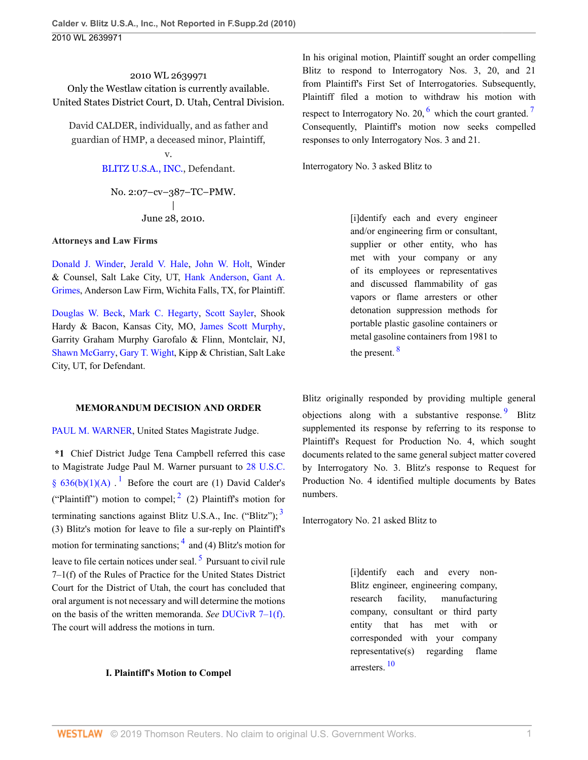## 2010 WL 2639971 Only the Westlaw citation is currently available. United States District Court, D. Utah, Central Division.

David CALDER, individually, and as father and guardian of HMP, a deceased minor, Plaintiff,

> v. [BLITZ U.S.A., INC.,](http://www.westlaw.com/Search/Results.html?query=advanced%3a+OAID(5037342285)&saveJuris=False&contentType=BUSINESS-INVESTIGATOR&startIndex=1&contextData=(sc.Default)&categoryPageUrl=Home%2fCompanyInvestigator&originationContext=document&vr=3.0&rs=cblt1.0&transitionType=DocumentItem) Defendant.

No. 2:07–cv–387–TC–PMW. | June 28, 2010.

### **Attorneys and Law Firms**

[Donald J. Winder,](http://www.westlaw.com/Link/Document/FullText?findType=h&pubNum=176284&cite=0196761701&originatingDoc=I5af68e8e868e11dfbe8a8e1700ec828b&refType=RQ&originationContext=document&vr=3.0&rs=cblt1.0&transitionType=DocumentItem&contextData=(sc.UserEnteredCitation)) [Jerald V. Hale](http://www.westlaw.com/Link/Document/FullText?findType=h&pubNum=176284&cite=0418855001&originatingDoc=I5af68e8e868e11dfbe8a8e1700ec828b&refType=RQ&originationContext=document&vr=3.0&rs=cblt1.0&transitionType=DocumentItem&contextData=(sc.UserEnteredCitation)), [John W. Holt](http://www.westlaw.com/Link/Document/FullText?findType=h&pubNum=176284&cite=0227283501&originatingDoc=I5af68e8e868e11dfbe8a8e1700ec828b&refType=RQ&originationContext=document&vr=3.0&rs=cblt1.0&transitionType=DocumentItem&contextData=(sc.UserEnteredCitation)), Winder & Counsel, Salt Lake City, UT, [Hank Anderson,](http://www.westlaw.com/Link/Document/FullText?findType=h&pubNum=176284&cite=0343016301&originatingDoc=I5af68e8e868e11dfbe8a8e1700ec828b&refType=RQ&originationContext=document&vr=3.0&rs=cblt1.0&transitionType=DocumentItem&contextData=(sc.UserEnteredCitation)) [Gant A.](http://www.westlaw.com/Link/Document/FullText?findType=h&pubNum=176284&cite=0433862901&originatingDoc=I5af68e8e868e11dfbe8a8e1700ec828b&refType=RQ&originationContext=document&vr=3.0&rs=cblt1.0&transitionType=DocumentItem&contextData=(sc.UserEnteredCitation)) [Grimes](http://www.westlaw.com/Link/Document/FullText?findType=h&pubNum=176284&cite=0433862901&originatingDoc=I5af68e8e868e11dfbe8a8e1700ec828b&refType=RQ&originationContext=document&vr=3.0&rs=cblt1.0&transitionType=DocumentItem&contextData=(sc.UserEnteredCitation)), Anderson Law Firm, Wichita Falls, TX, for Plaintiff.

[Douglas W. Beck,](http://www.westlaw.com/Link/Document/FullText?findType=h&pubNum=176284&cite=0271237301&originatingDoc=I5af68e8e868e11dfbe8a8e1700ec828b&refType=RQ&originationContext=document&vr=3.0&rs=cblt1.0&transitionType=DocumentItem&contextData=(sc.UserEnteredCitation)) [Mark C. Hegarty,](http://www.westlaw.com/Link/Document/FullText?findType=h&pubNum=176284&cite=0182450401&originatingDoc=I5af68e8e868e11dfbe8a8e1700ec828b&refType=RQ&originationContext=document&vr=3.0&rs=cblt1.0&transitionType=DocumentItem&contextData=(sc.UserEnteredCitation)) [Scott Sayler](http://www.westlaw.com/Link/Document/FullText?findType=h&pubNum=176284&cite=0127941401&originatingDoc=I5af68e8e868e11dfbe8a8e1700ec828b&refType=RQ&originationContext=document&vr=3.0&rs=cblt1.0&transitionType=DocumentItem&contextData=(sc.UserEnteredCitation)), Shook Hardy & Bacon, Kansas City, MO, [James Scott Murphy](http://www.westlaw.com/Link/Document/FullText?findType=h&pubNum=176284&cite=0326186801&originatingDoc=I5af68e8e868e11dfbe8a8e1700ec828b&refType=RQ&originationContext=document&vr=3.0&rs=cblt1.0&transitionType=DocumentItem&contextData=(sc.UserEnteredCitation)), Garrity Graham Murphy Garofalo & Flinn, Montclair, NJ, [Shawn McGarry,](http://www.westlaw.com/Link/Document/FullText?findType=h&pubNum=176284&cite=0149746501&originatingDoc=I5af68e8e868e11dfbe8a8e1700ec828b&refType=RQ&originationContext=document&vr=3.0&rs=cblt1.0&transitionType=DocumentItem&contextData=(sc.UserEnteredCitation)) [Gary T. Wight](http://www.westlaw.com/Link/Document/FullText?findType=h&pubNum=176284&cite=0499506699&originatingDoc=I5af68e8e868e11dfbe8a8e1700ec828b&refType=RQ&originationContext=document&vr=3.0&rs=cblt1.0&transitionType=DocumentItem&contextData=(sc.UserEnteredCitation)), Kipp & Christian, Salt Lake City, UT, for Defendant.

#### **MEMORANDUM DECISION AND ORDER**

[PAUL M. WARNER,](http://www.westlaw.com/Link/Document/FullText?findType=h&pubNum=176284&cite=0142484501&originatingDoc=I5af68e8e868e11dfbe8a8e1700ec828b&refType=RQ&originationContext=document&vr=3.0&rs=cblt1.0&transitionType=DocumentItem&contextData=(sc.UserEnteredCitation)) United States Magistrate Judge.

<span id="page-29-0"></span>**\*1** Chief District Judge Tena Campbell referred this case to Magistrate Judge Paul M. Warner pursuant to [28 U.S.C.](http://www.westlaw.com/Link/Document/FullText?findType=L&pubNum=1000546&cite=28USCAS636&originatingDoc=I5af68e8e868e11dfbe8a8e1700ec828b&refType=RB&originationContext=document&vr=3.0&rs=cblt1.0&transitionType=DocumentItem&contextData=(sc.UserEnteredCitation)#co_pp_8b16000077793) §  $636(b)(1)(A)$  $636(b)(1)(A)$  $636(b)(1)(A)$ .<sup>1</sup> Before the court are (1) David Calder's ("Plaintiff") motion to compel;  $\frac{2}{3}$  $\frac{2}{3}$  $\frac{2}{3}$  (2) Plaintiff's motion for terminating sanctions against Blitz U.S.A., Inc. ("Blitz");  $3$ (3) Blitz's motion for leave to file a sur-reply on Plaintiff's motion for terminating sanctions; <sup>[4](#page-32-3)</sup> and (4) Blitz's motion for leave to file certain notices under seal.<sup>[5](#page-32-4)</sup> Pursuant to civil rule 7–1(f) of the Rules of Practice for the United States District Court for the District of Utah, the court has concluded that oral argument is not necessary and will determine the motions on the basis of the written memoranda. *See* [DUCivR 7–1\(f\)](http://www.westlaw.com/Link/Document/FullText?findType=L&pubNum=1005631&cite=UTRUSDCIVDUCIVR7-1&originatingDoc=I5af68e8e868e11dfbe8a8e1700ec828b&refType=LQ&originationContext=document&vr=3.0&rs=cblt1.0&transitionType=DocumentItem&contextData=(sc.UserEnteredCitation)). The court will address the motions in turn.

#### **I. Plaintiff's Motion to Compel**

<span id="page-29-5"></span>In his original motion, Plaintiff sought an order compelling Blitz to respond to Interrogatory Nos. 3, 20, and 21 from Plaintiff's First Set of Interrogatories. Subsequently, Plaintiff filed a motion to withdraw his motion with respect to Interrogatory No. 20,  $^6$  $^6$  which the court granted.<sup>[7](#page-32-6)</sup> Consequently, Plaintiff's motion now seeks compelled responses to only Interrogatory Nos. 3 and 21.

Interrogatory No. 3 asked Blitz to

<span id="page-29-6"></span>[i]dentify each and every engineer and/or engineering firm or consultant, supplier or other entity, who has met with your company or any of its employees or representatives and discussed flammability of gas vapors or flame arresters or other detonation suppression methods for portable plastic gasoline containers or metal gasoline containers from 1981 to the present.  $\frac{8}{3}$  $\frac{8}{3}$  $\frac{8}{3}$ 

<span id="page-29-8"></span><span id="page-29-7"></span>Blitz originally responded by providing multiple general objections along with a substantive response.<sup>[9](#page-33-1)</sup> Blitz supplemented its response by referring to its response to Plaintiff's Request for Production No. 4, which sought documents related to the same general subject matter covered by Interrogatory No. 3. Blitz's response to Request for Production No. 4 identified multiple documents by Bates numbers.

<span id="page-29-4"></span><span id="page-29-3"></span><span id="page-29-2"></span><span id="page-29-1"></span>Interrogatory No. 21 asked Blitz to

<span id="page-29-9"></span>[i]dentify each and every non-Blitz engineer, engineering company, research facility, manufacturing company, consultant or third party entity that has met with or corresponded with your company representative(s) regarding flame arresters. [10](#page-33-2)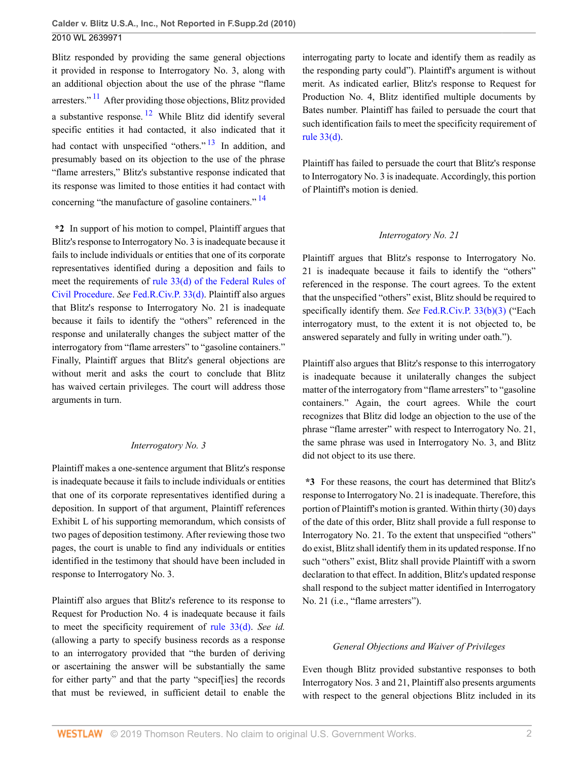<span id="page-30-1"></span><span id="page-30-0"></span>Blitz responded by providing the same general objections it provided in response to Interrogatory No. 3, along with an additional objection about the use of the phrase "flame arresters."<sup>[11](#page-33-3)</sup> After providing those objections, Blitz provided a substantive response.  $12$  While Blitz did identify several specific entities it had contacted, it also indicated that it had contact with unspecified "others."<sup>[13](#page-33-5)</sup> In addition, and presumably based on its objection to the use of the phrase "flame arresters," Blitz's substantive response indicated that its response was limited to those entities it had contact with concerning "the manufacture of gasoline containers."<sup>[14](#page-33-6)</sup>

**\*2** In support of his motion to compel, Plaintiff argues that Blitz's response to Interrogatory No. 3 is inadequate because it fails to include individuals or entities that one of its corporate representatives identified during a deposition and fails to meet the requirements of [rule 33\(d\) of the Federal Rules of](http://www.westlaw.com/Link/Document/FullText?findType=L&pubNum=1000600&cite=USFRCPR33&originatingDoc=I5af68e8e868e11dfbe8a8e1700ec828b&refType=RB&originationContext=document&vr=3.0&rs=cblt1.0&transitionType=DocumentItem&contextData=(sc.UserEnteredCitation)#co_pp_5ba1000067d06) [Civil Procedure.](http://www.westlaw.com/Link/Document/FullText?findType=L&pubNum=1000600&cite=USFRCPR33&originatingDoc=I5af68e8e868e11dfbe8a8e1700ec828b&refType=RB&originationContext=document&vr=3.0&rs=cblt1.0&transitionType=DocumentItem&contextData=(sc.UserEnteredCitation)#co_pp_5ba1000067d06) *See* [Fed.R.Civ.P. 33\(d\)](http://www.westlaw.com/Link/Document/FullText?findType=L&pubNum=1000600&cite=USFRCPR33&originatingDoc=I5af68e8e868e11dfbe8a8e1700ec828b&refType=RB&originationContext=document&vr=3.0&rs=cblt1.0&transitionType=DocumentItem&contextData=(sc.UserEnteredCitation)#co_pp_5ba1000067d06). Plaintiff also argues that Blitz's response to Interrogatory No. 21 is inadequate because it fails to identify the "others" referenced in the response and unilaterally changes the subject matter of the interrogatory from "flame arresters" to "gasoline containers." Finally, Plaintiff argues that Blitz's general objections are without merit and asks the court to conclude that Blitz has waived certain privileges. The court will address those arguments in turn.

#### *Interrogatory No. 3*

Plaintiff makes a one-sentence argument that Blitz's response is inadequate because it fails to include individuals or entities that one of its corporate representatives identified during a deposition. In support of that argument, Plaintiff references Exhibit L of his supporting memorandum, which consists of two pages of deposition testimony. After reviewing those two pages, the court is unable to find any individuals or entities identified in the testimony that should have been included in response to Interrogatory No. 3.

Plaintiff also argues that Blitz's reference to its response to Request for Production No. 4 is inadequate because it fails to meet the specificity requirement of [rule 33\(d\)](http://www.westlaw.com/Link/Document/FullText?findType=L&pubNum=1000600&cite=USFRCPR33&originatingDoc=I5af68e8e868e11dfbe8a8e1700ec828b&refType=RB&originationContext=document&vr=3.0&rs=cblt1.0&transitionType=DocumentItem&contextData=(sc.UserEnteredCitation)#co_pp_5ba1000067d06). *See id.* (allowing a party to specify business records as a response to an interrogatory provided that "the burden of deriving or ascertaining the answer will be substantially the same for either party" and that the party "specif[ies] the records that must be reviewed, in sufficient detail to enable the interrogating party to locate and identify them as readily as the responding party could"). Plaintiff's argument is without merit. As indicated earlier, Blitz's response to Request for Production No. 4, Blitz identified multiple documents by Bates number. Plaintiff has failed to persuade the court that such identification fails to meet the specificity requirement of [rule 33\(d\).](http://www.westlaw.com/Link/Document/FullText?findType=L&pubNum=1000600&cite=USFRCPR33&originatingDoc=I5af68e8e868e11dfbe8a8e1700ec828b&refType=RB&originationContext=document&vr=3.0&rs=cblt1.0&transitionType=DocumentItem&contextData=(sc.UserEnteredCitation)#co_pp_5ba1000067d06)

<span id="page-30-3"></span><span id="page-30-2"></span>Plaintiff has failed to persuade the court that Blitz's response to Interrogatory No. 3 is inadequate. Accordingly, this portion of Plaintiff's motion is denied.

#### *Interrogatory No. 21*

Plaintiff argues that Blitz's response to Interrogatory No. 21 is inadequate because it fails to identify the "others" referenced in the response. The court agrees. To the extent that the unspecified "others" exist, Blitz should be required to specifically identify them. *See* [Fed.R.Civ.P. 33\(b\)\(3\)](http://www.westlaw.com/Link/Document/FullText?findType=L&pubNum=1000600&cite=USFRCPR33&originatingDoc=I5af68e8e868e11dfbe8a8e1700ec828b&refType=RB&originationContext=document&vr=3.0&rs=cblt1.0&transitionType=DocumentItem&contextData=(sc.UserEnteredCitation)#co_pp_d801000002763) ("Each interrogatory must, to the extent it is not objected to, be answered separately and fully in writing under oath.").

Plaintiff also argues that Blitz's response to this interrogatory is inadequate because it unilaterally changes the subject matter of the interrogatory from "flame arresters" to "gasoline containers." Again, the court agrees. While the court recognizes that Blitz did lodge an objection to the use of the phrase "flame arrester" with respect to Interrogatory No. 21, the same phrase was used in Interrogatory No. 3, and Blitz did not object to its use there.

**\*3** For these reasons, the court has determined that Blitz's response to Interrogatory No. 21 is inadequate. Therefore, this portion of Plaintiff's motion is granted. Within thirty (30) days of the date of this order, Blitz shall provide a full response to Interrogatory No. 21. To the extent that unspecified "others" do exist, Blitz shall identify them in its updated response. If no such "others" exist, Blitz shall provide Plaintiff with a sworn declaration to that effect. In addition, Blitz's updated response shall respond to the subject matter identified in Interrogatory No. 21 (i.e., "flame arresters").

#### *General Objections and Waiver of Privileges*

Even though Blitz provided substantive responses to both Interrogatory Nos. 3 and 21, Plaintiff also presents arguments with respect to the general objections Blitz included in its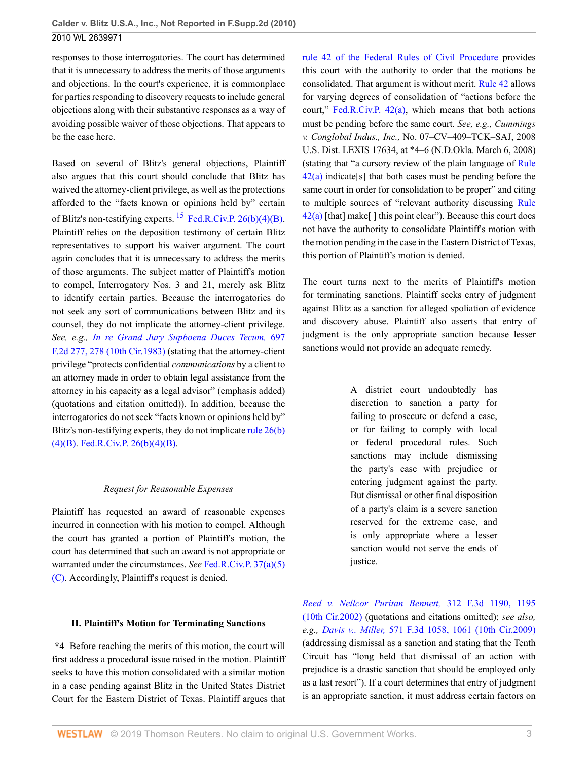responses to those interrogatories. The court has determined that it is unnecessary to address the merits of those arguments and objections. In the court's experience, it is commonplace for parties responding to discovery requests to include general objections along with their substantive responses as a way of avoiding possible waiver of those objections. That appears to be the case here.

<span id="page-31-0"></span>Based on several of Blitz's general objections, Plaintiff also argues that this court should conclude that Blitz has waived the attorney-client privilege, as well as the protections afforded to the "facts known or opinions held by" certain of Blitz's non-testifying experts.  $^{15}$  $^{15}$  $^{15}$  [Fed.R.Civ.P. 26\(b\)\(4\)\(B\).](http://www.westlaw.com/Link/Document/FullText?findType=L&pubNum=1000600&cite=USFRCPR26&originatingDoc=I5af68e8e868e11dfbe8a8e1700ec828b&refType=RB&originationContext=document&vr=3.0&rs=cblt1.0&transitionType=DocumentItem&contextData=(sc.UserEnteredCitation)#co_pp_68020000921e0) Plaintiff relies on the deposition testimony of certain Blitz representatives to support his waiver argument. The court again concludes that it is unnecessary to address the merits of those arguments. The subject matter of Plaintiff's motion to compel, Interrogatory Nos. 3 and 21, merely ask Blitz to identify certain parties. Because the interrogatories do not seek any sort of communications between Blitz and its counsel, they do not implicate the attorney-client privilege. *See, e.g., [In re Grand Jury Supboena Duces Tecum,](http://www.westlaw.com/Link/Document/FullText?findType=Y&serNum=1983101549&pubNum=0000350&originatingDoc=I5af68e8e868e11dfbe8a8e1700ec828b&refType=RP&fi=co_pp_sp_350_278&originationContext=document&vr=3.0&rs=cblt1.0&transitionType=DocumentItem&contextData=(sc.UserEnteredCitation)#co_pp_sp_350_278)* 697 [F.2d 277, 278 \(10th Cir.1983\)](http://www.westlaw.com/Link/Document/FullText?findType=Y&serNum=1983101549&pubNum=0000350&originatingDoc=I5af68e8e868e11dfbe8a8e1700ec828b&refType=RP&fi=co_pp_sp_350_278&originationContext=document&vr=3.0&rs=cblt1.0&transitionType=DocumentItem&contextData=(sc.UserEnteredCitation)#co_pp_sp_350_278) (stating that the attorney-client privilege "protects confidential *communications* by a client to an attorney made in order to obtain legal assistance from the attorney in his capacity as a legal advisor" (emphasis added) (quotations and citation omitted)). In addition, because the interrogatories do not seek "facts known or opinions held by" Blitz's non-testifying experts, they do not implicate [rule 26\(b\)](http://www.westlaw.com/Link/Document/FullText?findType=L&pubNum=1000600&cite=USFRCPR26&originatingDoc=I5af68e8e868e11dfbe8a8e1700ec828b&refType=RB&originationContext=document&vr=3.0&rs=cblt1.0&transitionType=DocumentItem&contextData=(sc.UserEnteredCitation)#co_pp_68020000921e0) [\(4\)\(B\).](http://www.westlaw.com/Link/Document/FullText?findType=L&pubNum=1000600&cite=USFRCPR26&originatingDoc=I5af68e8e868e11dfbe8a8e1700ec828b&refType=RB&originationContext=document&vr=3.0&rs=cblt1.0&transitionType=DocumentItem&contextData=(sc.UserEnteredCitation)#co_pp_68020000921e0) [Fed.R.Civ.P. 26\(b\)\(4\)\(B\)](http://www.westlaw.com/Link/Document/FullText?findType=L&pubNum=1000600&cite=USFRCPR26&originatingDoc=I5af68e8e868e11dfbe8a8e1700ec828b&refType=RB&originationContext=document&vr=3.0&rs=cblt1.0&transitionType=DocumentItem&contextData=(sc.UserEnteredCitation)#co_pp_68020000921e0).

#### *Request for Reasonable Expenses*

Plaintiff has requested an award of reasonable expenses incurred in connection with his motion to compel. Although the court has granted a portion of Plaintiff's motion, the court has determined that such an award is not appropriate or warranted under the circumstances. *See* [Fed.R.Civ.P. 37\(a\)\(5\)](http://www.westlaw.com/Link/Document/FullText?findType=L&pubNum=1000600&cite=USFRCPR37&originatingDoc=I5af68e8e868e11dfbe8a8e1700ec828b&refType=RB&originationContext=document&vr=3.0&rs=cblt1.0&transitionType=DocumentItem&contextData=(sc.UserEnteredCitation)#co_pp_4ff00000b20f0) [\(C\)](http://www.westlaw.com/Link/Document/FullText?findType=L&pubNum=1000600&cite=USFRCPR37&originatingDoc=I5af68e8e868e11dfbe8a8e1700ec828b&refType=RB&originationContext=document&vr=3.0&rs=cblt1.0&transitionType=DocumentItem&contextData=(sc.UserEnteredCitation)#co_pp_4ff00000b20f0). Accordingly, Plaintiff's request is denied.

## **II. Plaintiff's Motion for Terminating Sanctions**

**\*4** Before reaching the merits of this motion, the court will first address a procedural issue raised in the motion. Plaintiff seeks to have this motion consolidated with a similar motion in a case pending against Blitz in the United States District Court for the Eastern District of Texas. Plaintiff argues that [rule 42 of the Federal Rules of Civil Procedure](http://www.westlaw.com/Link/Document/FullText?findType=L&pubNum=1000600&cite=USFRCPR42&originatingDoc=I5af68e8e868e11dfbe8a8e1700ec828b&refType=LQ&originationContext=document&vr=3.0&rs=cblt1.0&transitionType=DocumentItem&contextData=(sc.UserEnteredCitation)) provides this court with the authority to order that the motions be consolidated. That argument is without merit. [Rule 42](http://www.westlaw.com/Link/Document/FullText?findType=L&pubNum=1000600&cite=USFRCPR42&originatingDoc=I5af68e8e868e11dfbe8a8e1700ec828b&refType=LQ&originationContext=document&vr=3.0&rs=cblt1.0&transitionType=DocumentItem&contextData=(sc.UserEnteredCitation)) allows for varying degrees of consolidation of "actions before the court," Fed.R.Civ.P.  $42(a)$ , which means that both actions must be pending before the same court. *See, e.g., Cummings v. Conglobal Indus., Inc.,* No. 07–CV–409–TCK–SAJ, 2008 U.S. Dist. LEXIS 17634, at \*4–6 (N.D.Okla. March 6, 2008) (stating that "a cursory review of the plain language of [Rule](http://www.westlaw.com/Link/Document/FullText?findType=L&pubNum=1000600&cite=USFRCPR42&originatingDoc=I5af68e8e868e11dfbe8a8e1700ec828b&refType=RB&originationContext=document&vr=3.0&rs=cblt1.0&transitionType=DocumentItem&contextData=(sc.UserEnteredCitation)#co_pp_8b3b0000958a4)  $42(a)$  indicate [s] that both cases must be pending before the same court in order for consolidation to be proper" and citing to multiple sources of "relevant authority discussing [Rule](http://www.westlaw.com/Link/Document/FullText?findType=L&pubNum=1000600&cite=USFRCPR42&originatingDoc=I5af68e8e868e11dfbe8a8e1700ec828b&refType=RB&originationContext=document&vr=3.0&rs=cblt1.0&transitionType=DocumentItem&contextData=(sc.UserEnteredCitation)#co_pp_8b3b0000958a4)  $42(a)$  [that] make<sup>[]</sup> this point clear"). Because this court does not have the authority to consolidate Plaintiff's motion with the motion pending in the case in the Eastern District of Texas, this portion of Plaintiff's motion is denied.

The court turns next to the merits of Plaintiff's motion for terminating sanctions. Plaintiff seeks entry of judgment against Blitz as a sanction for alleged spoliation of evidence and discovery abuse. Plaintiff also asserts that entry of judgment is the only appropriate sanction because lesser sanctions would not provide an adequate remedy.

> A district court undoubtedly has discretion to sanction a party for failing to prosecute or defend a case, or for failing to comply with local or federal procedural rules. Such sanctions may include dismissing the party's case with prejudice or entering judgment against the party. But dismissal or other final disposition of a party's claim is a severe sanction reserved for the extreme case, and is only appropriate where a lesser sanction would not serve the ends of justice.

*[Reed v. Nellcor Puritan Bennett,](http://www.westlaw.com/Link/Document/FullText?findType=Y&serNum=2002763315&pubNum=0000506&originatingDoc=I5af68e8e868e11dfbe8a8e1700ec828b&refType=RP&fi=co_pp_sp_506_1195&originationContext=document&vr=3.0&rs=cblt1.0&transitionType=DocumentItem&contextData=(sc.UserEnteredCitation)#co_pp_sp_506_1195)* 312 F.3d 1190, 1195 [\(10th Cir.2002\)](http://www.westlaw.com/Link/Document/FullText?findType=Y&serNum=2002763315&pubNum=0000506&originatingDoc=I5af68e8e868e11dfbe8a8e1700ec828b&refType=RP&fi=co_pp_sp_506_1195&originationContext=document&vr=3.0&rs=cblt1.0&transitionType=DocumentItem&contextData=(sc.UserEnteredCitation)#co_pp_sp_506_1195) (quotations and citations omitted); *see also, e.g., Davis v.. Miller,* [571 F.3d 1058, 1061 \(10th Cir.2009\)](http://www.westlaw.com/Link/Document/FullText?findType=Y&serNum=2019297151&pubNum=0000506&originatingDoc=I5af68e8e868e11dfbe8a8e1700ec828b&refType=RP&fi=co_pp_sp_506_1061&originationContext=document&vr=3.0&rs=cblt1.0&transitionType=DocumentItem&contextData=(sc.UserEnteredCitation)#co_pp_sp_506_1061) (addressing dismissal as a sanction and stating that the Tenth Circuit has "long held that dismissal of an action with prejudice is a drastic sanction that should be employed only as a last resort"). If a court determines that entry of judgment is an appropriate sanction, it must address certain factors on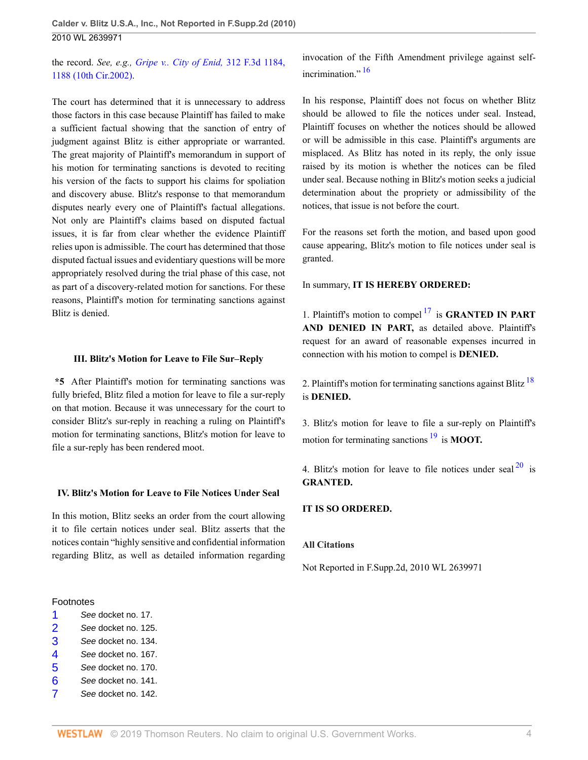the record. *See, e.g., [Gripe v.. City of Enid,](http://www.westlaw.com/Link/Document/FullText?findType=Y&serNum=2002760371&pubNum=0000506&originatingDoc=I5af68e8e868e11dfbe8a8e1700ec828b&refType=RP&fi=co_pp_sp_506_1188&originationContext=document&vr=3.0&rs=cblt1.0&transitionType=DocumentItem&contextData=(sc.UserEnteredCitation)#co_pp_sp_506_1188)* 312 F.3d 1184, [1188 \(10th Cir.2002\).](http://www.westlaw.com/Link/Document/FullText?findType=Y&serNum=2002760371&pubNum=0000506&originatingDoc=I5af68e8e868e11dfbe8a8e1700ec828b&refType=RP&fi=co_pp_sp_506_1188&originationContext=document&vr=3.0&rs=cblt1.0&transitionType=DocumentItem&contextData=(sc.UserEnteredCitation)#co_pp_sp_506_1188)

The court has determined that it is unnecessary to address those factors in this case because Plaintiff has failed to make a sufficient factual showing that the sanction of entry of judgment against Blitz is either appropriate or warranted. The great majority of Plaintiff's memorandum in support of his motion for terminating sanctions is devoted to reciting his version of the facts to support his claims for spoliation and discovery abuse. Blitz's response to that memorandum disputes nearly every one of Plaintiff's factual allegations. Not only are Plaintiff's claims based on disputed factual issues, it is far from clear whether the evidence Plaintiff relies upon is admissible. The court has determined that those disputed factual issues and evidentiary questions will be more appropriately resolved during the trial phase of this case, not as part of a discovery-related motion for sanctions. For these reasons, Plaintiff's motion for terminating sanctions against Blitz is denied.

#### **III. Blitz's Motion for Leave to File Sur–Reply**

**\*5** After Plaintiff's motion for terminating sanctions was fully briefed, Blitz filed a motion for leave to file a sur-reply on that motion. Because it was unnecessary for the court to consider Blitz's sur-reply in reaching a ruling on Plaintiff's motion for terminating sanctions, Blitz's motion for leave to file a sur-reply has been rendered moot.

#### **IV. Blitz's Motion for Leave to File Notices Under Seal**

In this motion, Blitz seeks an order from the court allowing it to file certain notices under seal. Blitz asserts that the notices contain "highly sensitive and confidential information regarding Blitz, as well as detailed information regarding

#### Footnotes

- <span id="page-32-0"></span>[1](#page-29-0) See docket no. 17.
- <span id="page-32-1"></span>[2](#page-29-1) See docket no. 125.
- <span id="page-32-2"></span>[3](#page-29-2) See docket no. 134.
- <span id="page-32-3"></span>[4](#page-29-3) See docket no. 167.
- <span id="page-32-4"></span>[5](#page-29-4) See docket no. 170.
- <span id="page-32-5"></span>[6](#page-29-5) See docket no. 141.
- <span id="page-32-6"></span>[7](#page-29-6) See docket no. 142.

<span id="page-32-7"></span>invocation of the Fifth Amendment privilege against selfincrimination." $16$ 

In his response, Plaintiff does not focus on whether Blitz should be allowed to file the notices under seal. Instead, Plaintiff focuses on whether the notices should be allowed or will be admissible in this case. Plaintiff's arguments are misplaced. As Blitz has noted in its reply, the only issue raised by its motion is whether the notices can be filed under seal. Because nothing in Blitz's motion seeks a judicial determination about the propriety or admissibility of the notices, that issue is not before the court.

For the reasons set forth the motion, and based upon good cause appearing, Blitz's motion to file notices under seal is granted.

In summary, **IT IS HEREBY ORDERED:**

<span id="page-32-8"></span>1. Plaintiff's motion to compel [17](#page-33-9) is **GRANTED IN PART AND DENIED IN PART,** as detailed above. Plaintiff's request for an award of reasonable expenses incurred in connection with his motion to compel is **DENIED.**

<span id="page-32-9"></span>2. Plaintiff's motion for terminating sanctions against Blitz<sup>[18](#page-33-10)</sup> is **DENIED.**

<span id="page-32-10"></span>3. Blitz's motion for leave to file a sur-reply on Plaintiff's motion for terminating sanctions [19](#page-33-11) is **MOOT.**

<span id="page-32-11"></span>4. Blitz's motion for leave to file notices under seal  $20$  is **GRANTED.**

#### **IT IS SO ORDERED.**

#### **All Citations**

Not Reported in F.Supp.2d, 2010 WL 2639971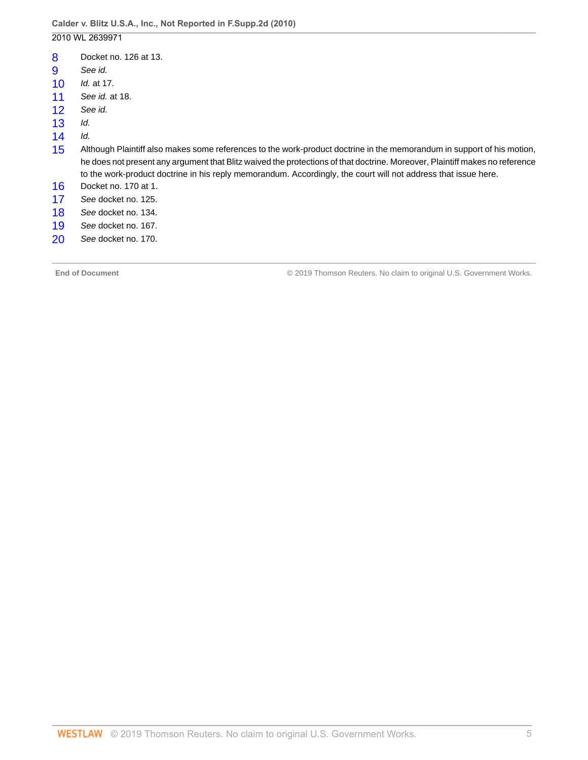2010 WL 2639971

- <span id="page-33-0"></span>Docket no. 126 at 13.
- <span id="page-33-1"></span>See id.
- <span id="page-33-2"></span>*Id.* at 17.
- <span id="page-33-3"></span>See *id.* at 18.
- <span id="page-33-4"></span>See id.
- <span id="page-33-5"></span>Id.
- <span id="page-33-6"></span>Id.
- <span id="page-33-7"></span> Although Plaintiff also makes some references to the work-product doctrine in the memorandum in support of his motion, he does not present any argument that Blitz waived the protections of that doctrine. Moreover, Plaintiff makes no reference to the work-product doctrine in his reply memorandum. Accordingly, the court will not address that issue here.
- <span id="page-33-8"></span>Docket no. 170 at 1.
- <span id="page-33-9"></span>See docket no. 125.
- <span id="page-33-10"></span>See docket no. 134.
- <span id="page-33-11"></span>See docket no. 167.
- <span id="page-33-12"></span>See docket no. 170.

**End of Document** © 2019 Thomson Reuters. No claim to original U.S. Government Works.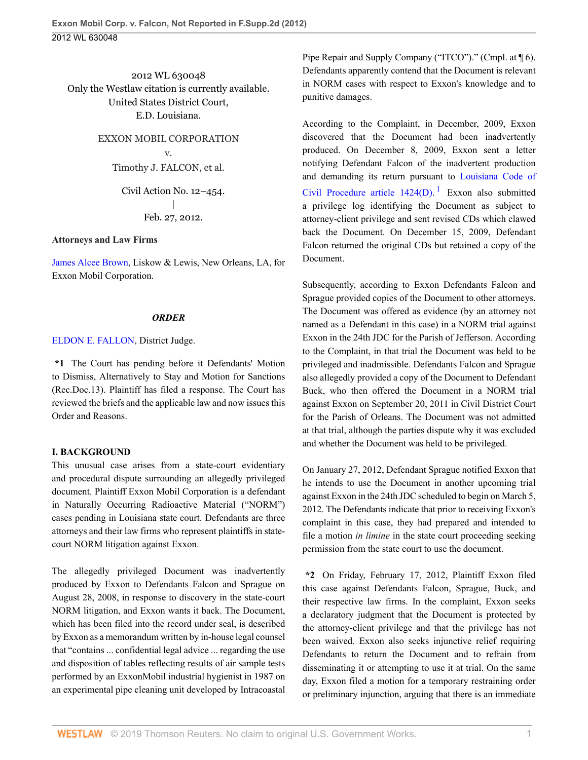2012 WL 630048 Only the Westlaw citation is currently available. United States District Court, E.D. Louisiana.

# EXXON MOBIL CORPORATION v. Timothy J. FALCON, et al.

Civil Action No. 12–454. | Feb. 27, 2012.

#### **Attorneys and Law Firms**

[James Alcee Brown,](http://www.westlaw.com/Link/Document/FullText?findType=h&pubNum=176284&cite=0185386101&originatingDoc=I08eede3062aa11e1b71fa7764cbfcb47&refType=RQ&originationContext=document&vr=3.0&rs=cblt1.0&transitionType=DocumentItem&contextData=(sc.UserEnteredCitation)) Liskow & Lewis, New Orleans, LA, for Exxon Mobil Corporation.

#### *ORDER*

### [ELDON E. FALLON](http://www.westlaw.com/Link/Document/FullText?findType=h&pubNum=176284&cite=0226421201&originatingDoc=I08eede3062aa11e1b71fa7764cbfcb47&refType=RQ&originationContext=document&vr=3.0&rs=cblt1.0&transitionType=DocumentItem&contextData=(sc.UserEnteredCitation)), District Judge.

**\*1** The Court has pending before it Defendants' Motion to Dismiss, Alternatively to Stay and Motion for Sanctions (Rec.Doc.13). Plaintiff has filed a response. The Court has reviewed the briefs and the applicable law and now issues this Order and Reasons.

#### **I. BACKGROUND**

This unusual case arises from a state-court evidentiary and procedural dispute surrounding an allegedly privileged document. Plaintiff Exxon Mobil Corporation is a defendant in Naturally Occurring Radioactive Material ("NORM") cases pending in Louisiana state court. Defendants are three attorneys and their law firms who represent plaintiffs in statecourt NORM litigation against Exxon.

The allegedly privileged Document was inadvertently produced by Exxon to Defendants Falcon and Sprague on August 28, 2008, in response to discovery in the state-court NORM litigation, and Exxon wants it back. The Document, which has been filed into the record under seal, is described by Exxon as a memorandum written by in-house legal counsel that "contains ... confidential legal advice ... regarding the use and disposition of tables reflecting results of air sample tests performed by an ExxonMobil industrial hygienist in 1987 on an experimental pipe cleaning unit developed by Intracoastal

Pipe Repair and Supply Company ("ITCO")." (Cmpl. at ¶ 6). Defendants apparently contend that the Document is relevant in NORM cases with respect to Exxon's knowledge and to punitive damages.

<span id="page-34-0"></span>According to the Complaint, in December, 2009, Exxon discovered that the Document had been inadvertently produced. On December 8, 2009, Exxon sent a letter notifying Defendant Falcon of the inadvertent production and demanding its return pursuant to [Louisiana Code of](http://www.westlaw.com/Link/Document/FullText?findType=L&pubNum=1000013&cite=LACPART1424&originatingDoc=I08eede3062aa11e1b71fa7764cbfcb47&refType=LQ&originationContext=document&vr=3.0&rs=cblt1.0&transitionType=DocumentItem&contextData=(sc.UserEnteredCitation)) Civil Procedure article  $1424(D)$  $1424(D)$ . Exxon also submitted a privilege log identifying the Document as subject to attorney-client privilege and sent revised CDs which clawed back the Document. On December 15, 2009, Defendant Falcon returned the original CDs but retained a copy of the Document.

Subsequently, according to Exxon Defendants Falcon and Sprague provided copies of the Document to other attorneys. The Document was offered as evidence (by an attorney not named as a Defendant in this case) in a NORM trial against Exxon in the 24th JDC for the Parish of Jefferson. According to the Complaint, in that trial the Document was held to be privileged and inadmissible. Defendants Falcon and Sprague also allegedly provided a copy of the Document to Defendant Buck, who then offered the Document in a NORM trial against Exxon on September 20, 2011 in Civil District Court for the Parish of Orleans. The Document was not admitted at that trial, although the parties dispute why it was excluded and whether the Document was held to be privileged.

On January 27, 2012, Defendant Sprague notified Exxon that he intends to use the Document in another upcoming trial against Exxon in the 24th JDC scheduled to begin on March 5, 2012. The Defendants indicate that prior to receiving Exxon's complaint in this case, they had prepared and intended to file a motion *in limine* in the state court proceeding seeking permission from the state court to use the document.

**\*2** On Friday, February 17, 2012, Plaintiff Exxon filed this case against Defendants Falcon, Sprague, Buck, and their respective law firms. In the complaint, Exxon seeks a declaratory judgment that the Document is protected by the attorney-client privilege and that the privilege has not been waived. Exxon also seeks injunctive relief requiring Defendants to return the Document and to refrain from disseminating it or attempting to use it at trial. On the same day, Exxon filed a motion for a temporary restraining order or preliminary injunction, arguing that there is an immediate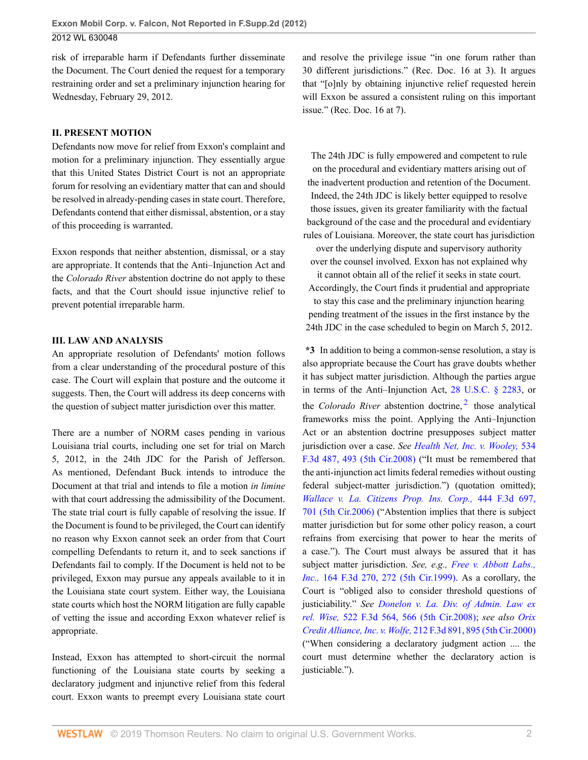risk of irreparable harm if Defendants further disseminate the Document. The Court denied the request for a temporary restraining order and set a preliminary injunction hearing for Wednesday, February 29, 2012.

#### **II. PRESENT MOTION**

Defendants now move for relief from Exxon's complaint and motion for a preliminary injunction. They essentially argue that this United States District Court is not an appropriate forum for resolving an evidentiary matter that can and should be resolved in already-pending cases in state court. Therefore, Defendants contend that either dismissal, abstention, or a stay of this proceeding is warranted.

Exxon responds that neither abstention, dismissal, or a stay are appropriate. It contends that the Anti–Injunction Act and the *Colorado River* abstention doctrine do not apply to these facts, and that the Court should issue injunctive relief to prevent potential irreparable harm.

### **III. LAW AND ANALYSIS**

An appropriate resolution of Defendants' motion follows from a clear understanding of the procedural posture of this case. The Court will explain that posture and the outcome it suggests. Then, the Court will address its deep concerns with the question of subject matter jurisdiction over this matter.

There are a number of NORM cases pending in various Louisiana trial courts, including one set for trial on March 5, 2012, in the 24th JDC for the Parish of Jefferson. As mentioned, Defendant Buck intends to introduce the Document at that trial and intends to file a motion *in limine* with that court addressing the admissibility of the Document. The state trial court is fully capable of resolving the issue. If the Document is found to be privileged, the Court can identify no reason why Exxon cannot seek an order from that Court compelling Defendants to return it, and to seek sanctions if Defendants fail to comply. If the Document is held not to be privileged, Exxon may pursue any appeals available to it in the Louisiana state court system. Either way, the Louisiana state courts which host the NORM litigation are fully capable of vetting the issue and according Exxon whatever relief is appropriate.

Instead, Exxon has attempted to short-circuit the normal functioning of the Louisiana state courts by seeking a declaratory judgment and injunctive relief from this federal court. Exxon wants to preempt every Louisiana state court and resolve the privilege issue "in one forum rather than 30 different jurisdictions." (Rec. Doc. 16 at 3). It argues that "[o]nly by obtaining injunctive relief requested herein will Exxon be assured a consistent ruling on this important issue." (Rec. Doc. 16 at 7).

The 24th JDC is fully empowered and competent to rule on the procedural and evidentiary matters arising out of the inadvertent production and retention of the Document. Indeed, the 24th JDC is likely better equipped to resolve those issues, given its greater familiarity with the factual background of the case and the procedural and evidentiary rules of Louisiana. Moreover, the state court has jurisdiction over the underlying dispute and supervisory authority over the counsel involved. Exxon has not explained why it cannot obtain all of the relief it seeks in state court. Accordingly, the Court finds it prudential and appropriate to stay this case and the preliminary injunction hearing

pending treatment of the issues in the first instance by the 24th JDC in the case scheduled to begin on March 5, 2012.

<span id="page-35-0"></span>**\*3** In addition to being a common-sense resolution, a stay is also appropriate because the Court has grave doubts whether it has subject matter jurisdiction. Although the parties argue in terms of the Anti–Injunction Act, [28 U.S.C. § 2283](http://www.westlaw.com/Link/Document/FullText?findType=L&pubNum=1000546&cite=28USCAS2283&originatingDoc=I08eede3062aa11e1b71fa7764cbfcb47&refType=LQ&originationContext=document&vr=3.0&rs=cblt1.0&transitionType=DocumentItem&contextData=(sc.UserEnteredCitation)), or the *Colorado River* abstention doctrine,<sup>[2](#page-36-1)</sup> those analytical frameworks miss the point. Applying the Anti–Injunction Act or an abstention doctrine presupposes subject matter jurisdiction over a case. *See [Health Net, Inc. v. Wooley,](http://www.westlaw.com/Link/Document/FullText?findType=Y&serNum=2016481221&pubNum=0000506&originatingDoc=I08eede3062aa11e1b71fa7764cbfcb47&refType=RP&fi=co_pp_sp_506_493&originationContext=document&vr=3.0&rs=cblt1.0&transitionType=DocumentItem&contextData=(sc.UserEnteredCitation)#co_pp_sp_506_493)* 534 [F.3d 487, 493 \(5th Cir.2008\)](http://www.westlaw.com/Link/Document/FullText?findType=Y&serNum=2016481221&pubNum=0000506&originatingDoc=I08eede3062aa11e1b71fa7764cbfcb47&refType=RP&fi=co_pp_sp_506_493&originationContext=document&vr=3.0&rs=cblt1.0&transitionType=DocumentItem&contextData=(sc.UserEnteredCitation)#co_pp_sp_506_493) ("It must be remembered that the anti-injunction act limits federal remedies without ousting federal subject-matter jurisdiction.") (quotation omitted); *[Wallace v. La. Citizens Prop. Ins. Corp.,](http://www.westlaw.com/Link/Document/FullText?findType=Y&serNum=2008835722&pubNum=0000506&originatingDoc=I08eede3062aa11e1b71fa7764cbfcb47&refType=RP&fi=co_pp_sp_506_701&originationContext=document&vr=3.0&rs=cblt1.0&transitionType=DocumentItem&contextData=(sc.UserEnteredCitation)#co_pp_sp_506_701)* 444 F.3d 697, [701 \(5th Cir.2006\)](http://www.westlaw.com/Link/Document/FullText?findType=Y&serNum=2008835722&pubNum=0000506&originatingDoc=I08eede3062aa11e1b71fa7764cbfcb47&refType=RP&fi=co_pp_sp_506_701&originationContext=document&vr=3.0&rs=cblt1.0&transitionType=DocumentItem&contextData=(sc.UserEnteredCitation)#co_pp_sp_506_701) ("Abstention implies that there is subject matter jurisdiction but for some other policy reason, a court refrains from exercising that power to hear the merits of a case."). The Court must always be assured that it has subject matter jurisdiction. *See, e.g., [Free v. Abbott Labs.,](http://www.westlaw.com/Link/Document/FullText?findType=Y&serNum=1999025306&pubNum=0000506&originatingDoc=I08eede3062aa11e1b71fa7764cbfcb47&refType=RP&fi=co_pp_sp_506_272&originationContext=document&vr=3.0&rs=cblt1.0&transitionType=DocumentItem&contextData=(sc.UserEnteredCitation)#co_pp_sp_506_272) Inc.,* [164 F.3d 270, 272 \(5th Cir.1999\).](http://www.westlaw.com/Link/Document/FullText?findType=Y&serNum=1999025306&pubNum=0000506&originatingDoc=I08eede3062aa11e1b71fa7764cbfcb47&refType=RP&fi=co_pp_sp_506_272&originationContext=document&vr=3.0&rs=cblt1.0&transitionType=DocumentItem&contextData=(sc.UserEnteredCitation)#co_pp_sp_506_272) As a corollary, the Court is "obliged also to consider threshold questions of justiciability." *See [Donelon v. La. Div. of Admin. Law ex](http://www.westlaw.com/Link/Document/FullText?findType=Y&serNum=2015586081&pubNum=0000506&originatingDoc=I08eede3062aa11e1b71fa7764cbfcb47&refType=RP&fi=co_pp_sp_506_566&originationContext=document&vr=3.0&rs=cblt1.0&transitionType=DocumentItem&contextData=(sc.UserEnteredCitation)#co_pp_sp_506_566) rel. Wise,* [522 F.3d 564, 566 \(5th Cir.2008\);](http://www.westlaw.com/Link/Document/FullText?findType=Y&serNum=2015586081&pubNum=0000506&originatingDoc=I08eede3062aa11e1b71fa7764cbfcb47&refType=RP&fi=co_pp_sp_506_566&originationContext=document&vr=3.0&rs=cblt1.0&transitionType=DocumentItem&contextData=(sc.UserEnteredCitation)#co_pp_sp_506_566) *see also [Orix](http://www.westlaw.com/Link/Document/FullText?findType=Y&serNum=2000356155&pubNum=0000506&originatingDoc=I08eede3062aa11e1b71fa7764cbfcb47&refType=RP&fi=co_pp_sp_506_895&originationContext=document&vr=3.0&rs=cblt1.0&transitionType=DocumentItem&contextData=(sc.UserEnteredCitation)#co_pp_sp_506_895) Credit Alliance, Inc. v. Wolfe,* [212 F.3d 891, 895 \(5th Cir.2000\)](http://www.westlaw.com/Link/Document/FullText?findType=Y&serNum=2000356155&pubNum=0000506&originatingDoc=I08eede3062aa11e1b71fa7764cbfcb47&refType=RP&fi=co_pp_sp_506_895&originationContext=document&vr=3.0&rs=cblt1.0&transitionType=DocumentItem&contextData=(sc.UserEnteredCitation)#co_pp_sp_506_895) ("When considering a declaratory judgment action .... the court must determine whether the declaratory action is justiciable.").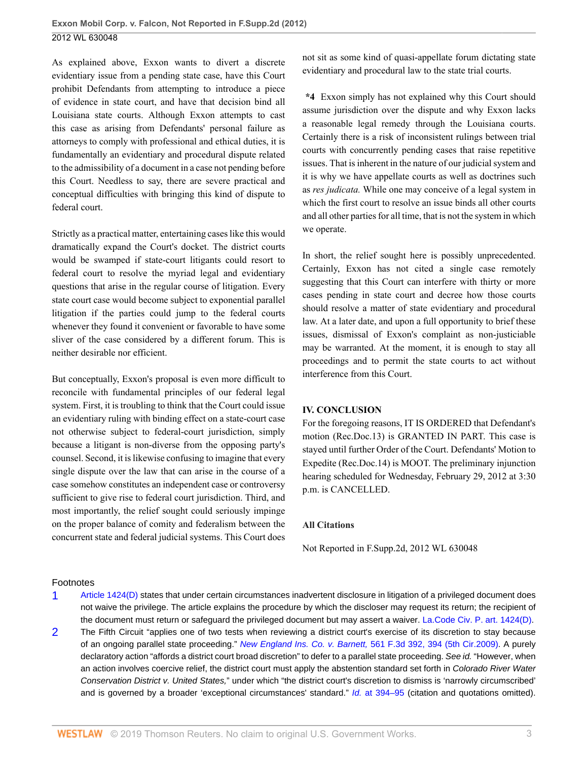As explained above, Exxon wants to divert a discrete evidentiary issue from a pending state case, have this Court prohibit Defendants from attempting to introduce a piece of evidence in state court, and have that decision bind all Louisiana state courts. Although Exxon attempts to cast this case as arising from Defendants' personal failure as attorneys to comply with professional and ethical duties, it is fundamentally an evidentiary and procedural dispute related to the admissibility of a document in a case not pending before this Court. Needless to say, there are severe practical and conceptual difficulties with bringing this kind of dispute to federal court.

Strictly as a practical matter, entertaining cases like this would dramatically expand the Court's docket. The district courts would be swamped if state-court litigants could resort to federal court to resolve the myriad legal and evidentiary questions that arise in the regular course of litigation. Every state court case would become subject to exponential parallel litigation if the parties could jump to the federal courts whenever they found it convenient or favorable to have some sliver of the case considered by a different forum. This is neither desirable nor efficient.

But conceptually, Exxon's proposal is even more difficult to reconcile with fundamental principles of our federal legal system. First, it is troubling to think that the Court could issue an evidentiary ruling with binding effect on a state-court case not otherwise subject to federal-court jurisdiction, simply because a litigant is non-diverse from the opposing party's counsel. Second, it is likewise confusing to imagine that every single dispute over the law that can arise in the course of a case somehow constitutes an independent case or controversy sufficient to give rise to federal court jurisdiction. Third, and most importantly, the relief sought could seriously impinge on the proper balance of comity and federalism between the concurrent state and federal judicial systems. This Court does

not sit as some kind of quasi-appellate forum dictating state evidentiary and procedural law to the state trial courts.

**\*4** Exxon simply has not explained why this Court should assume jurisdiction over the dispute and why Exxon lacks a reasonable legal remedy through the Louisiana courts. Certainly there is a risk of inconsistent rulings between trial courts with concurrently pending cases that raise repetitive issues. That is inherent in the nature of our judicial system and it is why we have appellate courts as well as doctrines such as *res judicata.* While one may conceive of a legal system in which the first court to resolve an issue binds all other courts and all other parties for all time, that is not the system in which we operate.

In short, the relief sought here is possibly unprecedented. Certainly, Exxon has not cited a single case remotely suggesting that this Court can interfere with thirty or more cases pending in state court and decree how those courts should resolve a matter of state evidentiary and procedural law. At a later date, and upon a full opportunity to brief these issues, dismissal of Exxon's complaint as non-justiciable may be warranted. At the moment, it is enough to stay all proceedings and to permit the state courts to act without interference from this Court.

#### **IV. CONCLUSION**

For the foregoing reasons, IT IS ORDERED that Defendant's motion (Rec.Doc.13) is GRANTED IN PART. This case is stayed until further Order of the Court. Defendants' Motion to Expedite (Rec.Doc.14) is MOOT. The preliminary injunction hearing scheduled for Wednesday, February 29, 2012 at 3:30 p.m. is CANCELLED.

#### **All Citations**

Not Reported in F.Supp.2d, 2012 WL 630048

#### Footnotes

- <span id="page-36-0"></span>[1](#page-34-0) [Article 1424\(D\)](http://www.westlaw.com/Link/Document/FullText?findType=L&pubNum=1000013&cite=LACPART1424&originatingDoc=I08eede3062aa11e1b71fa7764cbfcb47&refType=LQ&originationContext=document&vr=3.0&rs=cblt1.0&transitionType=DocumentItem&contextData=(sc.UserEnteredCitation)) states that under certain circumstances inadvertent disclosure in litigation of a privileged document does not waive the privilege. The article explains the procedure by which the discloser may request its return; the recipient of the document must return or safeguard the privileged document but may assert a waiver. [La.Code Civ. P. art. 1424\(D\).](http://www.westlaw.com/Link/Document/FullText?findType=L&pubNum=1000013&cite=LACPART1424&originatingDoc=I08eede3062aa11e1b71fa7764cbfcb47&refType=LQ&originationContext=document&vr=3.0&rs=cblt1.0&transitionType=DocumentItem&contextData=(sc.UserEnteredCitation))
- <span id="page-36-1"></span>[2](#page-35-0) The Fifth Circuit "applies one of two tests when reviewing a district court's exercise of its discretion to stay because of an ongoing parallel state proceeding." New England Ins. Co. v. Barnett, [561 F.3d 392, 394 \(5th Cir.2009\)](http://www.westlaw.com/Link/Document/FullText?findType=Y&serNum=2018208529&pubNum=0000506&originatingDoc=I08eede3062aa11e1b71fa7764cbfcb47&refType=RP&fi=co_pp_sp_506_394&originationContext=document&vr=3.0&rs=cblt1.0&transitionType=DocumentItem&contextData=(sc.UserEnteredCitation)#co_pp_sp_506_394). A purely declaratory action "affords a district court broad discretion" to defer to a parallel state proceeding. See id. "However, when an action involves coercive relief, the district court must apply the abstention standard set forth in Colorado River Water Conservation District v. United States," under which "the district court's discretion to dismiss is 'narrowly circumscribed' and is governed by a broader 'exceptional circumstances' standard." *Id.* [at 394–95](http://www.westlaw.com/Link/Document/FullText?findType=Y&serNum=2018208529&pubNum=0000506&originatingDoc=I08eede3062aa11e1b71fa7764cbfcb47&refType=RP&fi=co_pp_sp_506_394&originationContext=document&vr=3.0&rs=cblt1.0&transitionType=DocumentItem&contextData=(sc.UserEnteredCitation)#co_pp_sp_506_394) (citation and quotations omitted).